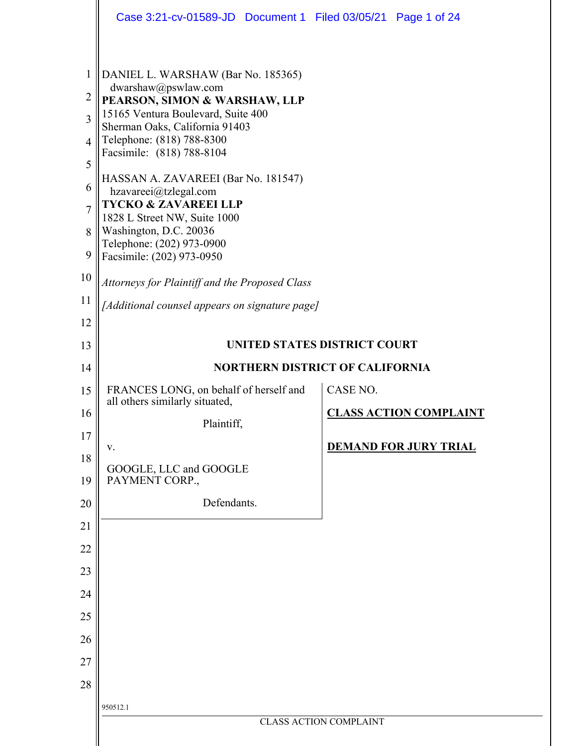|                                                                              | Case 3:21-cv-01589-JD  Document 1  Filed 03/05/21  Page 1 of 24                                                                                                                                                                                                                              |                              |                               |  |  |  |  |  |  |  |
|------------------------------------------------------------------------------|----------------------------------------------------------------------------------------------------------------------------------------------------------------------------------------------------------------------------------------------------------------------------------------------|------------------------------|-------------------------------|--|--|--|--|--|--|--|
| $\mathbf{1}$<br>$\overline{2}$<br>$\overline{3}$<br>$\overline{4}$<br>5<br>6 | DANIEL L. WARSHAW (Bar No. 185365)<br>dwarshaw@pswlaw.com<br>PEARSON, SIMON & WARSHAW, LLP<br>15165 Ventura Boulevard, Suite 400<br>Sherman Oaks, California 91403<br>Telephone: (818) 788-8300<br>Facsimile: (818) 788-8104<br>HASSAN A. ZAVAREEI (Bar No. 181547)<br>hzavareei@tzlegal.com |                              |                               |  |  |  |  |  |  |  |
| $\overline{7}$<br>8                                                          | <b>TYCKO &amp; ZAVAREEI LLP</b><br>1828 L Street NW, Suite 1000<br>Washington, D.C. 20036<br>Telephone: (202) 973-0900                                                                                                                                                                       |                              |                               |  |  |  |  |  |  |  |
| 9                                                                            | Facsimile: (202) 973-0950                                                                                                                                                                                                                                                                    |                              |                               |  |  |  |  |  |  |  |
| 10<br>11                                                                     | Attorneys for Plaintiff and the Proposed Class                                                                                                                                                                                                                                               |                              |                               |  |  |  |  |  |  |  |
| 12                                                                           | [Additional counsel appears on signature page]                                                                                                                                                                                                                                               |                              |                               |  |  |  |  |  |  |  |
| 13                                                                           |                                                                                                                                                                                                                                                                                              | UNITED STATES DISTRICT COURT |                               |  |  |  |  |  |  |  |
| 14                                                                           | <b>NORTHERN DISTRICT OF CALIFORNIA</b>                                                                                                                                                                                                                                                       |                              |                               |  |  |  |  |  |  |  |
| 15                                                                           | CASE NO.<br>FRANCES LONG, on behalf of herself and<br>all others similarly situated,                                                                                                                                                                                                         |                              |                               |  |  |  |  |  |  |  |
| 16                                                                           | Plaintiff,                                                                                                                                                                                                                                                                                   |                              | <b>CLASS ACTION COMPLAINT</b> |  |  |  |  |  |  |  |
| 17                                                                           | V.                                                                                                                                                                                                                                                                                           |                              | <b>DEMAND FOR JURY TRIAL</b>  |  |  |  |  |  |  |  |
| 18<br>19                                                                     | GOOGLE, LLC and GOOGLE<br>PAYMENT CORP.,                                                                                                                                                                                                                                                     |                              |                               |  |  |  |  |  |  |  |
| 20                                                                           | Defendants.                                                                                                                                                                                                                                                                                  |                              |                               |  |  |  |  |  |  |  |
| 21                                                                           |                                                                                                                                                                                                                                                                                              |                              |                               |  |  |  |  |  |  |  |
| 22                                                                           |                                                                                                                                                                                                                                                                                              |                              |                               |  |  |  |  |  |  |  |
| 23                                                                           |                                                                                                                                                                                                                                                                                              |                              |                               |  |  |  |  |  |  |  |
| 24<br>25                                                                     |                                                                                                                                                                                                                                                                                              |                              |                               |  |  |  |  |  |  |  |
| 26                                                                           |                                                                                                                                                                                                                                                                                              |                              |                               |  |  |  |  |  |  |  |
| 27                                                                           |                                                                                                                                                                                                                                                                                              |                              |                               |  |  |  |  |  |  |  |
| 28                                                                           |                                                                                                                                                                                                                                                                                              |                              |                               |  |  |  |  |  |  |  |
|                                                                              | 950512.1                                                                                                                                                                                                                                                                                     |                              |                               |  |  |  |  |  |  |  |
|                                                                              | <b>CLASS ACTION COMPLAINT</b>                                                                                                                                                                                                                                                                |                              |                               |  |  |  |  |  |  |  |
|                                                                              |                                                                                                                                                                                                                                                                                              |                              |                               |  |  |  |  |  |  |  |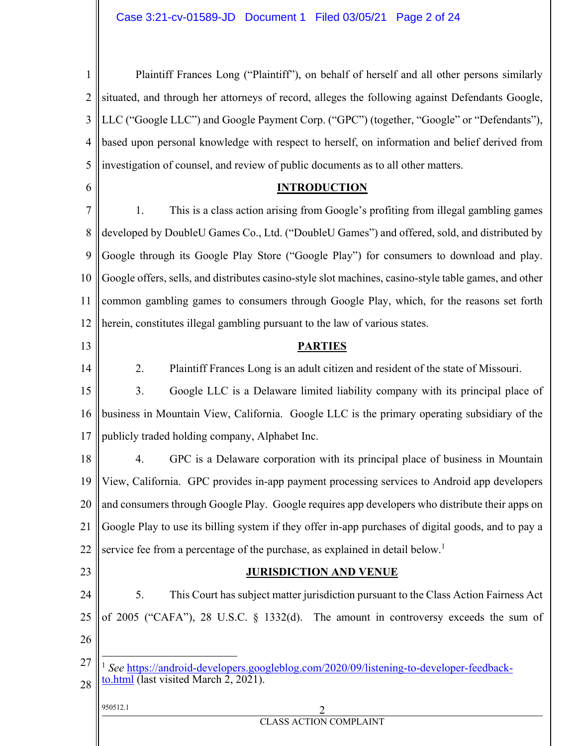| Plaintiff Frances Long ("Plaintiff"), on behalf of herself and all other persons similarly                  |  |  |  |  |  |  |  |
|-------------------------------------------------------------------------------------------------------------|--|--|--|--|--|--|--|
| situated, and through her attorneys of record, alleges the following against Defendants Google,             |  |  |  |  |  |  |  |
| LLC ("Google LLC") and Google Payment Corp. ("GPC") (together, "Google" or "Defendants"),                   |  |  |  |  |  |  |  |
| based upon personal knowledge with respect to herself, on information and belief derived from               |  |  |  |  |  |  |  |
| investigation of counsel, and review of public documents as to all other matters.                           |  |  |  |  |  |  |  |
| <b>INTRODUCTION</b>                                                                                         |  |  |  |  |  |  |  |
| This is a class action arising from Google's profiting from illegal gambling games<br>1.                    |  |  |  |  |  |  |  |
| developed by DoubleU Games Co., Ltd. ("DoubleU Games") and offered, sold, and distributed by                |  |  |  |  |  |  |  |
| Google through its Google Play Store ("Google Play") for consumers to download and play.                    |  |  |  |  |  |  |  |
| Google offers, sells, and distributes casino-style slot machines, casino-style table games, and other<br>10 |  |  |  |  |  |  |  |
| common gambling games to consumers through Google Play, which, for the reasons set forth<br>11              |  |  |  |  |  |  |  |
| herein, constitutes illegal gambling pursuant to the law of various states.                                 |  |  |  |  |  |  |  |
| <b>PARTIES</b>                                                                                              |  |  |  |  |  |  |  |
| Plaintiff Frances Long is an adult citizen and resident of the state of Missouri.<br>2.                     |  |  |  |  |  |  |  |
| Google LLC is a Delaware limited liability company with its principal place of<br>3.                        |  |  |  |  |  |  |  |
| business in Mountain View, California. Google LLC is the primary operating subsidiary of the                |  |  |  |  |  |  |  |
| publicly traded holding company, Alphabet Inc.                                                              |  |  |  |  |  |  |  |
| GPC is a Delaware corporation with its principal place of business in Mountain<br>4.                        |  |  |  |  |  |  |  |
| 19    View, California. GPC provides in-app payment processing services to Android app developers           |  |  |  |  |  |  |  |
| and consumers through Google Play. Google requires app developers who distribute their apps on              |  |  |  |  |  |  |  |
| Google Play to use its billing system if they offer in-app purchases of digital goods, and to pay a         |  |  |  |  |  |  |  |
| service fee from a percentage of the purchase, as explained in detail below. <sup>1</sup>                   |  |  |  |  |  |  |  |
| <b>JURISDICTION AND VENUE</b>                                                                               |  |  |  |  |  |  |  |
| 5.<br>This Court has subject matter jurisdiction pursuant to the Class Action Fairness Act                  |  |  |  |  |  |  |  |
| of 2005 ("CAFA"), 28 U.S.C. § 1332(d). The amount in controversy exceeds the sum of                         |  |  |  |  |  |  |  |
|                                                                                                             |  |  |  |  |  |  |  |
| See https://android-developers.googleblog.com/2020/09/listening-to-developer-feedback-                      |  |  |  |  |  |  |  |
| to.html (last visited March 2, 2021).                                                                       |  |  |  |  |  |  |  |
| 950512.1<br><b>CLASS ACTION COMPLAINT</b>                                                                   |  |  |  |  |  |  |  |
|                                                                                                             |  |  |  |  |  |  |  |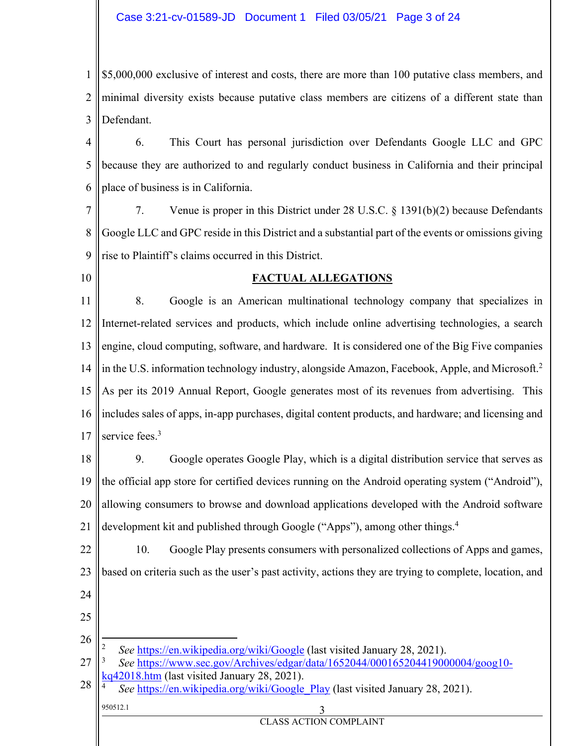## Case 3:21-cv-01589-JD Document 1 Filed 03/05/21 Page 3 of 24

1 2 3 \$5,000,000 exclusive of interest and costs, there are more than 100 putative class members, and minimal diversity exists because putative class members are citizens of a different state than Defendant.

4 5 6 6. This Court has personal jurisdiction over Defendants Google LLC and GPC because they are authorized to and regularly conduct business in California and their principal place of business is in California.

7 8 9 7. Venue is proper in this District under 28 U.S.C. § 1391(b)(2) because Defendants Google LLC and GPC reside in this District and a substantial part of the events or omissions giving rise to Plaintiff's claims occurred in this District.

10

## **FACTUAL ALLEGATIONS**

11 12 13 14 15 16 17 8. Google is an American multinational technology company that specializes in Internet-related services and products, which include online advertising technologies, a search engine, cloud computing, software, and hardware. It is considered one of the Big Five companies in the U.S. information technology industry, alongside Amazon, Facebook, Apple, and Microsoft.<sup>2</sup> As per its 2019 Annual Report, Google generates most of its revenues from advertising. This includes sales of apps, in-app purchases, digital content products, and hardware; and licensing and service fees.<sup>3</sup>

18 19 20 21 9. Google operates Google Play, which is a digital distribution service that serves as the official app store for certified devices running on the Android operating system ("Android"), allowing consumers to browse and download applications developed with the Android software development kit and published through Google ("Apps"), among other things.<sup>4</sup>

22 23 24 10. Google Play presents consumers with personalized collections of Apps and games, based on criteria such as the user's past activity, actions they are trying to complete, location, and

25

26 <u>.</u> 2  *See* https://en.wikipedia.org/wiki/Google (last visited January 28, 2021).

27 3  *See* https://www.sec.gov/Archives/edgar/data/1652044/000165204419000004/goog10-  $42018.htm$  (last visited January 28, 2021).

CLASS ACTION COMPLAINT

950512.1 3 28 4 *See* https://en.wikipedia.org/wiki/Google Play (last visited January 28, 2021).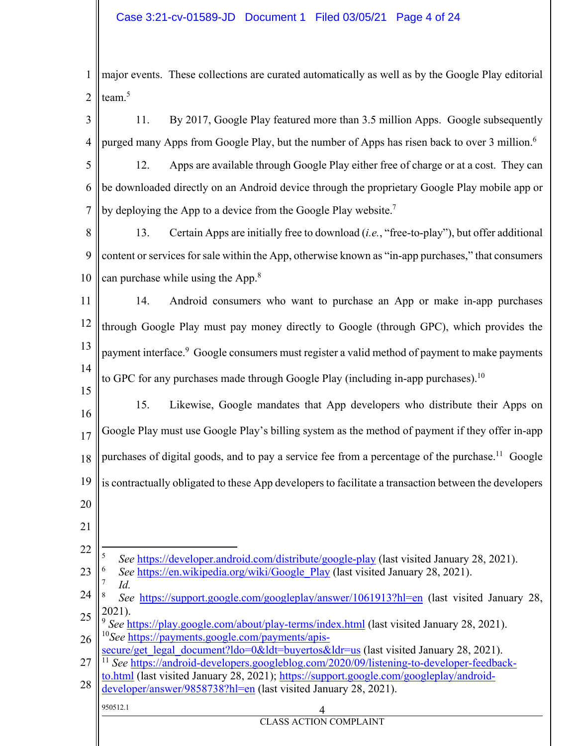1 2 major events. These collections are curated automatically as well as by the Google Play editorial team.<sup>5</sup>

- 3 4 11. By 2017, Google Play featured more than 3.5 million Apps. Google subsequently purged many Apps from Google Play, but the number of Apps has risen back to over 3 million.<sup>6</sup>
- 5 6 7 12. Apps are available through Google Play either free of charge or at a cost. They can be downloaded directly on an Android device through the proprietary Google Play mobile app or by deploying the App to a device from the Google Play website.<sup>7</sup>
- 8 9 10 13. Certain Apps are initially free to download (*i.e.*, "free-to-play"), but offer additional content or services for sale within the App, otherwise known as "in-app purchases," that consumers can purchase while using the App.<sup>8</sup>
- 11 12 13 14 14. Android consumers who want to purchase an App or make in-app purchases through Google Play must pay money directly to Google (through GPC), which provides the payment interface.<sup>9</sup> Google consumers must register a valid method of payment to make payments to GPC for any purchases made through Google Play (including in-app purchases).<sup>10</sup>
- 15 16 17 18 19 15. Likewise, Google mandates that App developers who distribute their Apps on Google Play must use Google Play's billing system as the method of payment if they offer in-app purchases of digital goods, and to pay a service fee from a percentage of the purchase.<sup>11</sup> Google is contractually obligated to these App developers to facilitate a transaction between the developers
- 20

21

- 22 1 5 *See* https://developer.android.com/distribute/google-play (last visited January 28, 2021).
- 23 6 *See* https://en.wikipedia.org/wiki/Google Play (last visited January 28, 2021).
- 7  $Id.$
- 24 25 *See* https://support.google.com/googleplay/answer/1061913?hl=en (last visited January 28, 2021).

CLASS ACTION COMPLAINT

- 26 <sup>9</sup> See https://play.google.com/about/play-terms/index.html (last visited January 28, 2021). <sup>10</sup>*See* https://payments.google.com/payments/apis-
- secure/get\_legal\_document?ldo=0&ldt=buyertos&ldr=us (last visited January 28, 2021).
- 27 <sup>11</sup> *See* https://android-developers.googleblog.com/2020/09/listening-to-developer-feedback-
- 28 to.html (last visited January 28, 2021); https://support.google.com/googleplay/androiddeveloper/answer/9858738?hl=en (last visited January 28, 2021).

 $950512.1$  4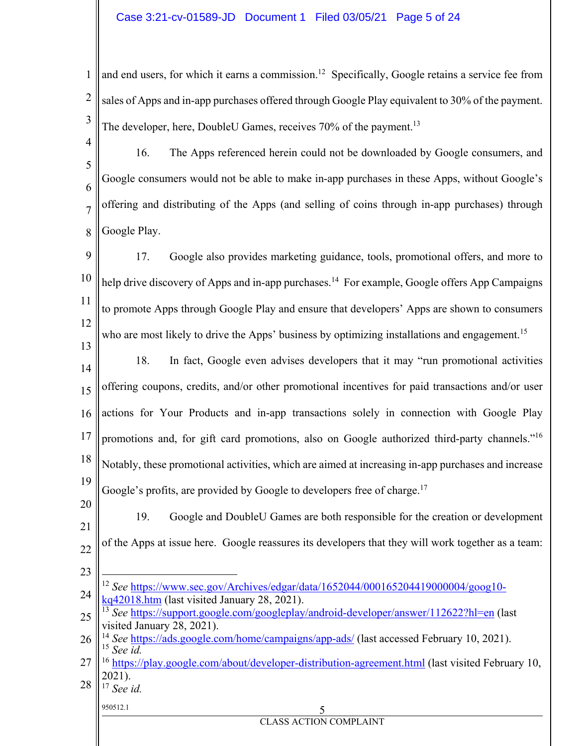1 2 3 and end users, for which it earns a commission.<sup>12</sup> Specifically, Google retains a service fee from sales of Apps and in-app purchases offered through Google Play equivalent to 30% of the payment. The developer, here, DoubleU Games, receives 70% of the payment.<sup>13</sup>

4 5 6 7 8 16. The Apps referenced herein could not be downloaded by Google consumers, and Google consumers would not be able to make in-app purchases in these Apps, without Google's offering and distributing of the Apps (and selling of coins through in-app purchases) through Google Play.

9 10 11 12 17. Google also provides marketing guidance, tools, promotional offers, and more to help drive discovery of Apps and in-app purchases.<sup>14</sup> For example, Google offers App Campaigns to promote Apps through Google Play and ensure that developers' Apps are shown to consumers who are most likely to drive the Apps' business by optimizing installations and engagement.<sup>15</sup>

14 15 16 17 18 19 18. In fact, Google even advises developers that it may "run promotional activities offering coupons, credits, and/or other promotional incentives for paid transactions and/or user actions for Your Products and in-app transactions solely in connection with Google Play promotions and, for gift card promotions, also on Google authorized third-party channels."16 Notably, these promotional activities, which are aimed at increasing in-app purchases and increase Google's profits, are provided by Google to developers free of charge.<sup>17</sup>

20 21 22 23 19. Google and DoubleU Games are both responsible for the creation or development of the Apps at issue here. Google reassures its developers that they will work together as a team:  $\overline{a}$ 

<sup>17</sup> *See id.*

13

## 950512.1 5

<sup>24</sup> <sup>12</sup> *See* https://www.sec.gov/Archives/edgar/data/1652044/000165204419000004/goog10 kq42018.htm (last visited January 28, 2021).

<sup>25</sup> <sup>13</sup> *See* https://support.google.com/googleplay/android-developer/answer/112622?hl=en (last visited January 28, 2021).

<sup>26</sup> <sup>14</sup> *See* https://ads.google.com/home/campaigns/app-ads/ (last accessed February 10, 2021). 15 *See id.*

<sup>27</sup> 28 <sup>16</sup> https://play.google.com/about/developer-distribution-agreement.html (last visited February 10, 2021).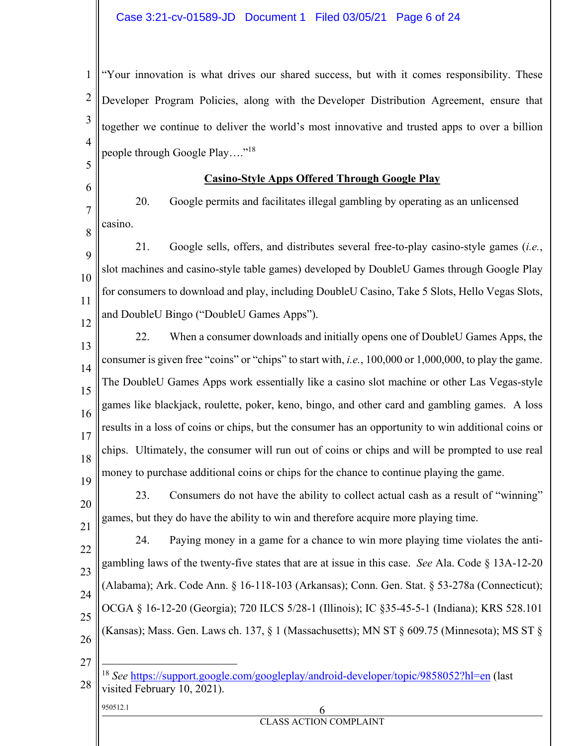1 2 3 4 "Your innovation is what drives our shared success, but with it comes responsibility. These Developer Program Policies, along with the Developer Distribution Agreement, ensure that together we continue to deliver the world's most innovative and trusted apps to over a billion people through Google Play…."18

## **Casino-Style Apps Offered Through Google Play**

20. Google permits and facilitates illegal gambling by operating as an unlicensed casino.

9 10 11 12 21. Google sells, offers, and distributes several free-to-play casino-style games (*i.e.*, slot machines and casino-style table games) developed by DoubleU Games through Google Play for consumers to download and play, including DoubleU Casino, Take 5 Slots, Hello Vegas Slots, and DoubleU Bingo ("DoubleU Games Apps").

13 14 15 16 17 18 19 22. When a consumer downloads and initially opens one of DoubleU Games Apps, the consumer is given free "coins" or "chips" to start with, *i.e.*, 100,000 or 1,000,000, to play the game. The DoubleU Games Apps work essentially like a casino slot machine or other Las Vegas-style games like blackjack, roulette, poker, keno, bingo, and other card and gambling games. A loss results in a loss of coins or chips, but the consumer has an opportunity to win additional coins or chips. Ultimately, the consumer will run out of coins or chips and will be prompted to use real money to purchase additional coins or chips for the chance to continue playing the game.

20 21 23. Consumers do not have the ability to collect actual cash as a result of "winning" games, but they do have the ability to win and therefore acquire more playing time.

22 23 24 25 26 24. Paying money in a game for a chance to win more playing time violates the antigambling laws of the twenty-five states that are at issue in this case. *See* Ala. Code § 13A-12-20 (Alabama); Ark. Code Ann. § 16-118-103 (Arkansas); Conn. Gen. Stat. § 53-278a (Connecticut); OCGA § 16-12-20 (Georgia); 720 ILCS 5/28-1 (Illinois); IC §35-45-5-1 (Indiana); KRS 528.101 (Kansas); Mass. Gen. Laws ch. 137, § 1 (Massachusetts); MN ST § 609.75 (Minnesota); MS ST §

27

 $\overline{a}$ 

5

6

7

8

- 
- $950512.1$  6 CLASS ACTION COMPLAINT

<sup>28</sup> <sup>18</sup> *See* https://support.google.com/googleplay/android-developer/topic/9858052?hl=en (last visited February 10, 2021).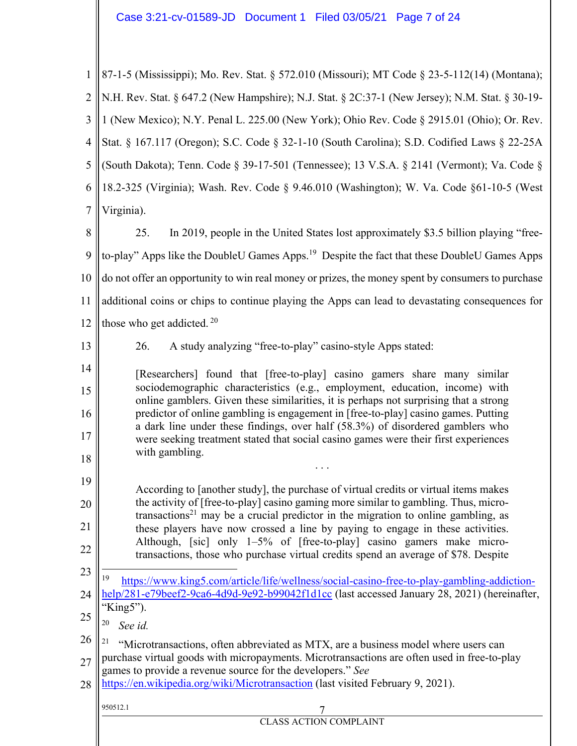# Case 3:21-cv-01589-JD Document 1 Filed 03/05/21 Page 7 of 24

| $\mathbf{1}$   | 87-1-5 (Mississippi); Mo. Rev. Stat. § 572.010 (Missouri); MT Code § 23-5-112(14) (Montana);                                                                                         |  |  |  |  |  |  |  |  |
|----------------|--------------------------------------------------------------------------------------------------------------------------------------------------------------------------------------|--|--|--|--|--|--|--|--|
| $\overline{2}$ | N.H. Rev. Stat. § 647.2 (New Hampshire); N.J. Stat. § 2C:37-1 (New Jersey); N.M. Stat. § 30-19-                                                                                      |  |  |  |  |  |  |  |  |
| 3              | 1 (New Mexico); N.Y. Penal L. 225.00 (New York); Ohio Rev. Code § 2915.01 (Ohio); Or. Rev.                                                                                           |  |  |  |  |  |  |  |  |
| $\overline{4}$ | Stat. § 167.117 (Oregon); S.C. Code § 32-1-10 (South Carolina); S.D. Codified Laws § 22-25A                                                                                          |  |  |  |  |  |  |  |  |
| 5              | (South Dakota); Tenn. Code § 39-17-501 (Tennessee); 13 V.S.A. § 2141 (Vermont); Va. Code §                                                                                           |  |  |  |  |  |  |  |  |
| 6              | 18.2-325 (Virginia); Wash. Rev. Code § 9.46.010 (Washington); W. Va. Code §61-10-5 (West                                                                                             |  |  |  |  |  |  |  |  |
| $\overline{7}$ | Virginia).                                                                                                                                                                           |  |  |  |  |  |  |  |  |
| 8              | 25.<br>In 2019, people in the United States lost approximately \$3.5 billion playing "free-                                                                                          |  |  |  |  |  |  |  |  |
| 9              | to-play" Apps like the DoubleU Games Apps. <sup>19</sup> Despite the fact that these DoubleU Games Apps                                                                              |  |  |  |  |  |  |  |  |
| 10             | do not offer an opportunity to win real money or prizes, the money spent by consumers to purchase                                                                                    |  |  |  |  |  |  |  |  |
| 11             | additional coins or chips to continue playing the Apps can lead to devastating consequences for                                                                                      |  |  |  |  |  |  |  |  |
| 12             | those who get addicted. <sup>20</sup>                                                                                                                                                |  |  |  |  |  |  |  |  |
| 13             | 26.<br>A study analyzing "free-to-play" casino-style Apps stated:                                                                                                                    |  |  |  |  |  |  |  |  |
| 14             | [Researchers] found that [free-to-play] casino gamers share many similar                                                                                                             |  |  |  |  |  |  |  |  |
| 15             | sociodemographic characteristics (e.g., employment, education, income) with<br>online gamblers. Given these similarities, it is perhaps not surprising that a strong                 |  |  |  |  |  |  |  |  |
| 16             | predictor of online gambling is engagement in [free-to-play] casino games. Putting<br>a dark line under these findings, over half (58.3%) of disordered gamblers who                 |  |  |  |  |  |  |  |  |
| 17             | were seeking treatment stated that social casino games were their first experiences<br>with gambling.                                                                                |  |  |  |  |  |  |  |  |
| 18             |                                                                                                                                                                                      |  |  |  |  |  |  |  |  |
| 19             | According to [another study], the purchase of virtual credits or virtual items makes                                                                                                 |  |  |  |  |  |  |  |  |
| 20             | the activity of [free-to-play] casino gaming more similar to gambling. Thus, micro-<br>transactions <sup>21</sup> may be a crucial predictor in the migration to online gambling, as |  |  |  |  |  |  |  |  |
| 21             | these players have now crossed a line by paying to engage in these activities.<br>Although, [sic] only 1-5% of [free-to-play] casino gamers make micro-                              |  |  |  |  |  |  |  |  |
| 22             | transactions, those who purchase virtual credits spend an average of \$78. Despite                                                                                                   |  |  |  |  |  |  |  |  |
| 23             | 19<br>https://www.king5.com/article/life/wellness/social-casino-free-to-play-gambling-addiction-                                                                                     |  |  |  |  |  |  |  |  |
| 24             | help/281-e79beef2-9ca6-4d9d-9e92-b99042f1d1cc (last accessed January 28, 2021) (hereinafter,<br>"King5").                                                                            |  |  |  |  |  |  |  |  |
| 25             | 20<br>See id.                                                                                                                                                                        |  |  |  |  |  |  |  |  |
| 26<br>27       | "Microtransactions, often abbreviated as MTX, are a business model where users can<br>purchase virtual goods with micropayments. Microtransactions are often used in free-to-play    |  |  |  |  |  |  |  |  |
| 28             | games to provide a revenue source for the developers." See<br>https://en.wikipedia.org/wiki/Microtransaction (last visited February 9, 2021).                                        |  |  |  |  |  |  |  |  |
|                | 950512.1                                                                                                                                                                             |  |  |  |  |  |  |  |  |
|                | <b>CLASS ACTION COMPLAINT</b>                                                                                                                                                        |  |  |  |  |  |  |  |  |
|                |                                                                                                                                                                                      |  |  |  |  |  |  |  |  |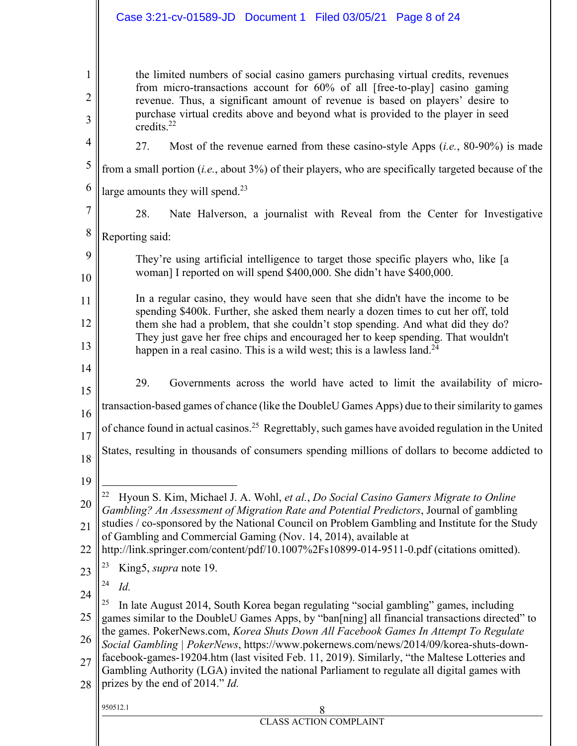# Case 3:21-cv-01589-JD Document 1 Filed 03/05/21 Page 8 of 24

| 1<br>2<br>3    | the limited numbers of social casino gamers purchasing virtual credits, revenues<br>from micro-transactions account for 60% of all [free-to-play] casino gaming<br>revenue. Thus, a significant amount of revenue is based on players' desire to<br>purchase virtual credits above and beyond what is provided to the player in seed |  |  |  |  |  |  |  |
|----------------|--------------------------------------------------------------------------------------------------------------------------------------------------------------------------------------------------------------------------------------------------------------------------------------------------------------------------------------|--|--|--|--|--|--|--|
| 4              | credits. $^{22}$                                                                                                                                                                                                                                                                                                                     |  |  |  |  |  |  |  |
|                | 27.<br>Most of the revenue earned from these casino-style Apps $(i.e., 80-90%)$ is made                                                                                                                                                                                                                                              |  |  |  |  |  |  |  |
| 5              | from a small portion ( <i>i.e.</i> , about $3\%$ ) of their players, who are specifically targeted because of the                                                                                                                                                                                                                    |  |  |  |  |  |  |  |
| 6              | large amounts they will spend. <sup>23</sup>                                                                                                                                                                                                                                                                                         |  |  |  |  |  |  |  |
| $\overline{7}$ | 28.<br>Nate Halverson, a journalist with Reveal from the Center for Investigative                                                                                                                                                                                                                                                    |  |  |  |  |  |  |  |
| 8              | Reporting said:                                                                                                                                                                                                                                                                                                                      |  |  |  |  |  |  |  |
| 9<br>10        | They're using artificial intelligence to target those specific players who, like [a<br>woman] I reported on will spend \$400,000. She didn't have \$400,000.                                                                                                                                                                         |  |  |  |  |  |  |  |
| 11             | In a regular casino, they would have seen that she didn't have the income to be<br>spending \$400k. Further, she asked them nearly a dozen times to cut her off, told                                                                                                                                                                |  |  |  |  |  |  |  |
| 12             | them she had a problem, that she couldn't stop spending. And what did they do?<br>They just gave her free chips and encouraged her to keep spending. That wouldn't                                                                                                                                                                   |  |  |  |  |  |  |  |
| 13             | happen in a real casino. This is a wild west; this is a lawless land. $24$                                                                                                                                                                                                                                                           |  |  |  |  |  |  |  |
| 14<br>15       | 29.<br>Governments across the world have acted to limit the availability of micro-                                                                                                                                                                                                                                                   |  |  |  |  |  |  |  |
| 16             | transaction-based games of chance (like the DoubleU Games Apps) due to their similarity to games                                                                                                                                                                                                                                     |  |  |  |  |  |  |  |
| 17             | of chance found in actual casinos. <sup>25</sup> Regrettably, such games have avoided regulation in the United                                                                                                                                                                                                                       |  |  |  |  |  |  |  |
| 18             | States, resulting in thousands of consumers spending millions of dollars to become addicted to                                                                                                                                                                                                                                       |  |  |  |  |  |  |  |
| 19             |                                                                                                                                                                                                                                                                                                                                      |  |  |  |  |  |  |  |
| 20             | Hyoun S. Kim, Michael J. A. Wohl, et al., Do Social Casino Gamers Migrate to Online<br>Gambling? An Assessment of Migration Rate and Potential Predictors, Journal of gambling                                                                                                                                                       |  |  |  |  |  |  |  |
| 21             | studies / co-sponsored by the National Council on Problem Gambling and Institute for the Study<br>of Gambling and Commercial Gaming (Nov. 14, 2014), available at                                                                                                                                                                    |  |  |  |  |  |  |  |
| 22             | http://link.springer.com/content/pdf/10.1007%2Fs10899-014-9511-0.pdf (citations omitted).<br>King5, supra note 19.                                                                                                                                                                                                                   |  |  |  |  |  |  |  |
| 23             | 24<br>Id.                                                                                                                                                                                                                                                                                                                            |  |  |  |  |  |  |  |
| 24             | In late August 2014, South Korea began regulating "social gambling" games, including                                                                                                                                                                                                                                                 |  |  |  |  |  |  |  |
| 25             | games similar to the DoubleU Games Apps, by "ban[ning] all financial transactions directed" to                                                                                                                                                                                                                                       |  |  |  |  |  |  |  |
| 26             | the games. PokerNews.com, Korea Shuts Down All Facebook Games In Attempt To Regulate<br>Social Gambling   PokerNews, https://www.pokernews.com/news/2014/09/korea-shuts-down-                                                                                                                                                        |  |  |  |  |  |  |  |
| 27             | facebook-games-19204.htm (last visited Feb. 11, 2019). Similarly, "the Maltese Lotteries and<br>Gambling Authority (LGA) invited the national Parliament to regulate all digital games with                                                                                                                                          |  |  |  |  |  |  |  |
| 28             | prizes by the end of 2014." Id.                                                                                                                                                                                                                                                                                                      |  |  |  |  |  |  |  |
|                | 950512.1<br>8                                                                                                                                                                                                                                                                                                                        |  |  |  |  |  |  |  |
|                | <b>CLASS ACTION COMPLAINT</b>                                                                                                                                                                                                                                                                                                        |  |  |  |  |  |  |  |
|                |                                                                                                                                                                                                                                                                                                                                      |  |  |  |  |  |  |  |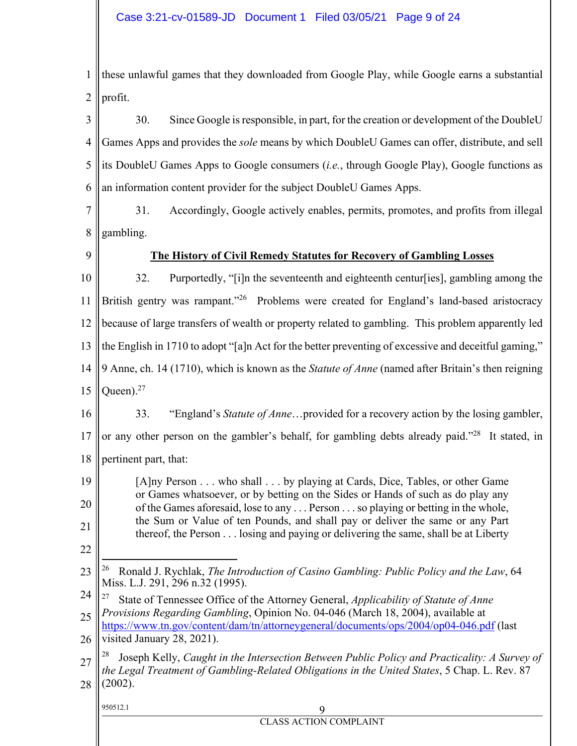1 2 these unlawful games that they downloaded from Google Play, while Google earns a substantial profit.

3 4 5 6 30. Since Google is responsible, in part, for the creation or development of the DoubleU Games Apps and provides the *sole* means by which DoubleU Games can offer, distribute, and sell its DoubleU Games Apps to Google consumers (*i.e.*, through Google Play), Google functions as an information content provider for the subject DoubleU Games Apps.

- 7 8 31. Accordingly, Google actively enables, permits, promotes, and profits from illegal gambling.
- 9

## **The History of Civil Remedy Statutes for Recovery of Gambling Losses**

10 11 12 13 14 32. Purportedly, "[i]n the seventeenth and eighteenth centur[ies], gambling among the British gentry was rampant."<sup>26</sup> Problems were created for England's land-based aristocracy because of large transfers of wealth or property related to gambling. This problem apparently led the English in 1710 to adopt "[a]n Act for the better preventing of excessive and deceitful gaming," 9 Anne, ch. 14 (1710), which is known as the *Statute of Anne* (named after Britain's then reigning

15 Oueen $)^{27}$ 

22

16 17 18 33. "England's *Statute of Anne*…provided for a recovery action by the losing gambler, or any other person on the gambler's behalf, for gambling debts already paid."<sup>28</sup> It stated, in pertinent part, that:

19 20 21 [A]ny Person . . . who shall . . . by playing at Cards, Dice, Tables, or other Game or Games whatsoever, or by betting on the Sides or Hands of such as do play any of the Games aforesaid, lose to any . . . Person . . . so playing or betting in the whole, the Sum or Value of ten Pounds, and shall pay or deliver the same or any Part thereof, the Person . . . losing and paying or delivering the same, shall be at Liberty

#### 23  $\overline{a}$ 26 Ronald J. Rychlak, *The Introduction of Casino Gambling: Public Policy and the Law*, 64 Miss. L.J. 291, 296 n.32 (1995).

- 24 27 State of Tennessee Office of the Attorney General, *Applicability of Statute of Anne Provisions Regarding Gambling*, Opinion No. 04-046 (March 18, 2004), available at
- 25 https://www.tn.gov/content/dam/tn/attorneygeneral/documents/ops/2004/op04-046.pdf (last

26 visited January 28, 2021).

27 28 28 Joseph Kelly, *Caught in the Intersection Between Public Policy and Practicality: A Survey of the Legal Treatment of Gambling-Related Obligations in the United States*, 5 Chap. L. Rev. 87 (2002).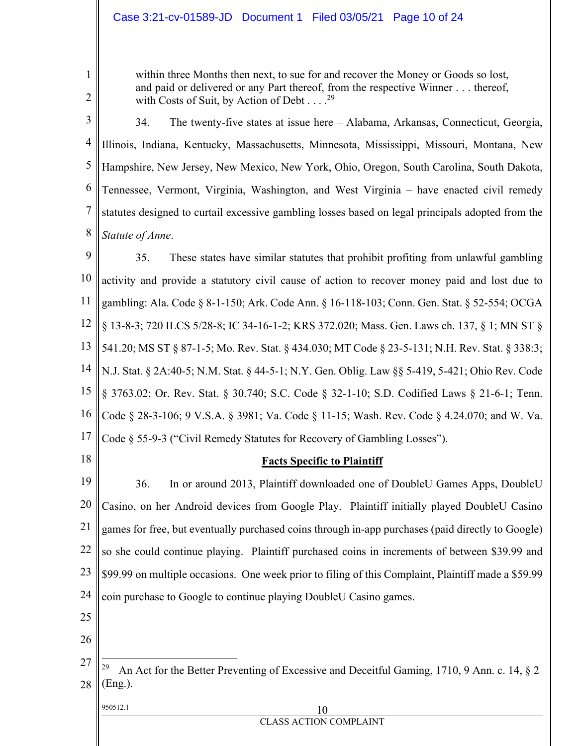## Case 3:21-cv-01589-JD Document 1 Filed 03/05/21 Page 10 of 24

within three Months then next, to sue for and recover the Money or Goods so lost, and paid or delivered or any Part thereof, from the respective Winner . . . thereof, with Costs of Suit, by Action of Debt . . . . <sup>29</sup>

2

1

3 4 5 6 7 8 34. The twenty-five states at issue here – Alabama, Arkansas, Connecticut, Georgia, Illinois, Indiana, Kentucky, Massachusetts, Minnesota, Mississippi, Missouri, Montana, New Hampshire, New Jersey, New Mexico, New York, Ohio, Oregon, South Carolina, South Dakota, Tennessee, Vermont, Virginia, Washington, and West Virginia – have enacted civil remedy statutes designed to curtail excessive gambling losses based on legal principals adopted from the *Statute of Anne*.

9 10 11 12 13 14 15 16 17 35. These states have similar statutes that prohibit profiting from unlawful gambling activity and provide a statutory civil cause of action to recover money paid and lost due to gambling: Ala. Code § 8-1-150; Ark. Code Ann. § 16-118-103; Conn. Gen. Stat. § 52-554; OCGA § 13-8-3; 720 ILCS 5/28-8; IC 34-16-1-2; KRS 372.020; Mass. Gen. Laws ch. 137, § 1; MN ST § 541.20; MS ST § 87-1-5; Mo. Rev. Stat. § 434.030; MT Code § 23-5-131; N.H. Rev. Stat. § 338:3; N.J. Stat. § 2A:40-5; N.M. Stat. § 44-5-1; N.Y. Gen. Oblig. Law §§ 5-419, 5-421; Ohio Rev. Code § 3763.02; Or. Rev. Stat. § 30.740; S.C. Code § 32-1-10; S.D. Codified Laws § 21-6-1; Tenn. Code § 28-3-106; 9 V.S.A. § 3981; Va. Code § 11-15; Wash. Rev. Code § 4.24.070; and W. Va. Code § 55-9-3 ("Civil Remedy Statutes for Recovery of Gambling Losses").

18

## **Facts Specific to Plaintiff**

19 20 21 22 23 24 36. In or around 2013, Plaintiff downloaded one of DoubleU Games Apps, DoubleU Casino, on her Android devices from Google Play. Plaintiff initially played DoubleU Casino games for free, but eventually purchased coins through in-app purchases (paid directly to Google) so she could continue playing. Plaintiff purchased coins in increments of between \$39.99 and \$99.99 on multiple occasions. One week prior to filing of this Complaint, Plaintiff made a \$59.99 coin purchase to Google to continue playing DoubleU Casino games.

- 25
- 26

## $950512.1$  10

 $\overline{a}$ 

<sup>27</sup> 28 <sup>29</sup> An Act for the Better Preventing of Excessive and Deceitful Gaming, 1710, 9 Ann. c. 14,  $\S$  2 (Eng.).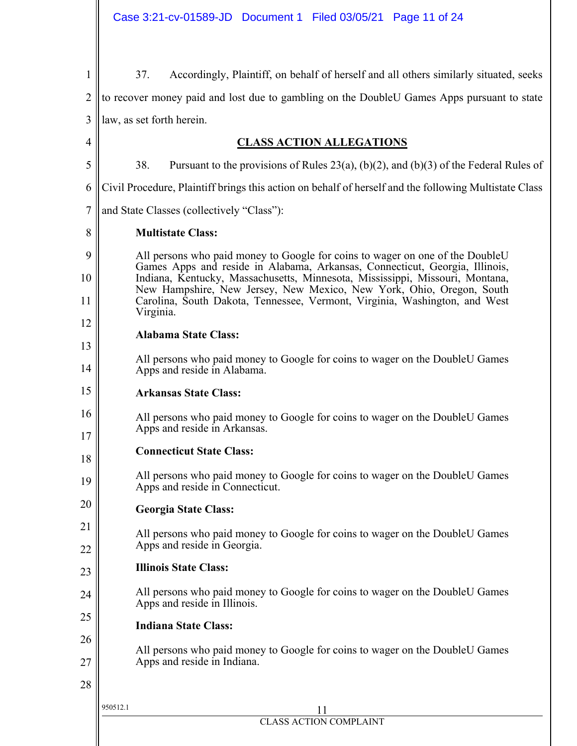| $\mathbf{1}$   | Accordingly, Plaintiff, on behalf of herself and all others similarly situated, seeks<br>37.                                                                                                                                        |  |  |  |  |  |  |  |  |
|----------------|-------------------------------------------------------------------------------------------------------------------------------------------------------------------------------------------------------------------------------------|--|--|--|--|--|--|--|--|
| $\overline{2}$ | to recover money paid and lost due to gambling on the DoubleU Games Apps pursuant to state                                                                                                                                          |  |  |  |  |  |  |  |  |
| 3              | law, as set forth herein.                                                                                                                                                                                                           |  |  |  |  |  |  |  |  |
| 4              | <b>CLASS ACTION ALLEGATIONS</b>                                                                                                                                                                                                     |  |  |  |  |  |  |  |  |
| 5              | 38.<br>Pursuant to the provisions of Rules 23(a), (b)(2), and (b)(3) of the Federal Rules of                                                                                                                                        |  |  |  |  |  |  |  |  |
| 6              | Civil Procedure, Plaintiff brings this action on behalf of herself and the following Multistate Class                                                                                                                               |  |  |  |  |  |  |  |  |
| 7              | and State Classes (collectively "Class"):                                                                                                                                                                                           |  |  |  |  |  |  |  |  |
| 8              | <b>Multistate Class:</b>                                                                                                                                                                                                            |  |  |  |  |  |  |  |  |
| 9              | All persons who paid money to Google for coins to wager on one of the DoubleU                                                                                                                                                       |  |  |  |  |  |  |  |  |
| 10             | Games Apps and reside in Alabama, Arkansas, Connecticut, Georgia, Illinois,<br>Indiana, Kentucky, Massachusetts, Minnesota, Mississippi, Missouri, Montana,<br>New Hampshire, New Jersey, New Mexico, New York, Ohio, Oregon, South |  |  |  |  |  |  |  |  |
| 11             | Carolina, South Dakota, Tennessee, Vermont, Virginia, Washington, and West<br>Virginia.                                                                                                                                             |  |  |  |  |  |  |  |  |
| 12             | <b>Alabama State Class:</b>                                                                                                                                                                                                         |  |  |  |  |  |  |  |  |
| 13             |                                                                                                                                                                                                                                     |  |  |  |  |  |  |  |  |
| 14             | All persons who paid money to Google for coins to wager on the DoubleU Games<br>Apps and reside in Alabama.                                                                                                                         |  |  |  |  |  |  |  |  |
| 15             | <b>Arkansas State Class:</b>                                                                                                                                                                                                        |  |  |  |  |  |  |  |  |
| 16             | All persons who paid money to Google for coins to wager on the DoubleU Games<br>Apps and reside in Arkansas.                                                                                                                        |  |  |  |  |  |  |  |  |
| 17<br>18       | <b>Connecticut State Class:</b>                                                                                                                                                                                                     |  |  |  |  |  |  |  |  |
| 19             | All persons who paid money to Google for coins to wager on the DoubleU Games<br>Apps and reside in Connecticut.                                                                                                                     |  |  |  |  |  |  |  |  |
| 20             | <b>Georgia State Class:</b>                                                                                                                                                                                                         |  |  |  |  |  |  |  |  |
| 21             | All persons who paid money to Google for coins to wager on the DoubleU Games                                                                                                                                                        |  |  |  |  |  |  |  |  |
| 22             | Apps and reside in Georgia.                                                                                                                                                                                                         |  |  |  |  |  |  |  |  |
| 23             | <b>Illinois State Class:</b>                                                                                                                                                                                                        |  |  |  |  |  |  |  |  |
| 24             | All persons who paid money to Google for coins to wager on the DoubleU Games<br>Apps and reside in Illinois.                                                                                                                        |  |  |  |  |  |  |  |  |
| 25             | <b>Indiana State Class:</b>                                                                                                                                                                                                         |  |  |  |  |  |  |  |  |
| 26             | All persons who paid money to Google for coins to wager on the DoubleU Games                                                                                                                                                        |  |  |  |  |  |  |  |  |
| 27             | Apps and reside in Indiana.                                                                                                                                                                                                         |  |  |  |  |  |  |  |  |
| 28             |                                                                                                                                                                                                                                     |  |  |  |  |  |  |  |  |
|                | 950512.1<br>11                                                                                                                                                                                                                      |  |  |  |  |  |  |  |  |
|                | <b>CLASS ACTION COMPLAINT</b>                                                                                                                                                                                                       |  |  |  |  |  |  |  |  |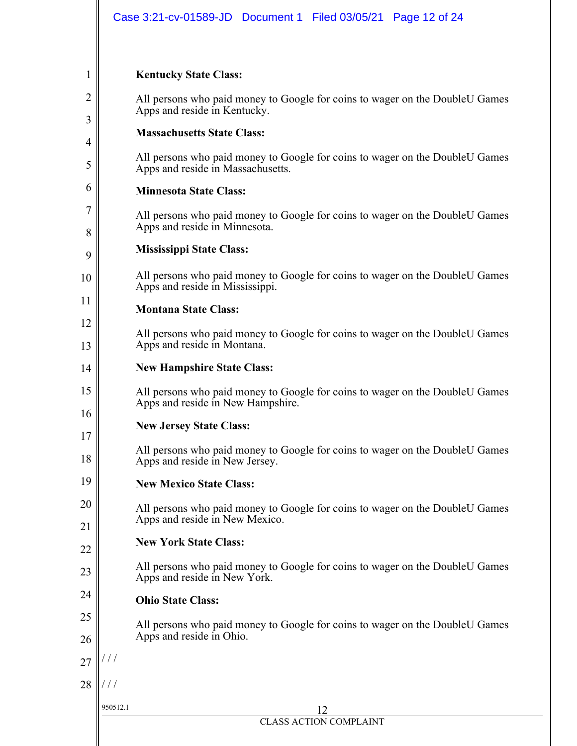## **Kentucky State Class:**

1

2

3

4

5

6

7

8

9

10

11

12

13

15

16

17

18

20

21

22

23

24

25

26

28

All persons who paid money to Google for coins to wager on the DoubleU Games Apps and reside in Kentucky.

## **Massachusetts State Class:**

All persons who paid money to Google for coins to wager on the DoubleU Games Apps and reside in Massachusetts.

## **Minnesota State Class:**

All persons who paid money to Google for coins to wager on the DoubleU Games Apps and reside in Minnesota.

## **Mississippi State Class:**

All persons who paid money to Google for coins to wager on the DoubleU Games Apps and reside in Mississippi.

## **Montana State Class:**

All persons who paid money to Google for coins to wager on the DoubleU Games Apps and reside in Montana.

#### 14 **New Hampshire State Class:**

All persons who paid money to Google for coins to wager on the DoubleU Games Apps and reside in New Hampshire.

## **New Jersey State Class:**

All persons who paid money to Google for coins to wager on the DoubleU Games Apps and reside in New Jersey.

#### 19 **New Mexico State Class:**

All persons who paid money to Google for coins to wager on the DoubleU Games Apps and reside in New Mexico.

## **New York State Class:**

All persons who paid money to Google for coins to wager on the DoubleU Games Apps and reside in New York.

## **Ohio State Class:**

All persons who paid money to Google for coins to wager on the DoubleU Games Apps and reside in Ohio.

#### 27 / / /

/ / /

### 950512.1 12 CLASS ACTION COMPLAINT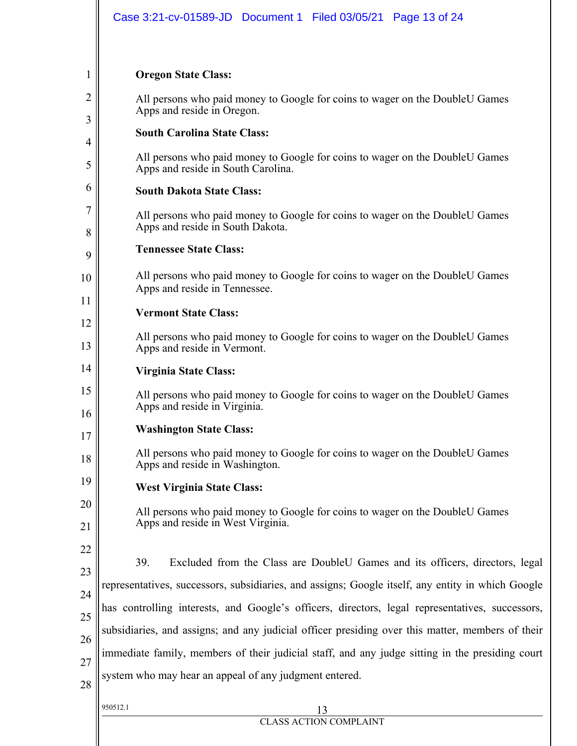## **Oregon State Class:**

1

2

3

4

5

6

7

8

9

10

11

12

13

14

15

16

18

20

21

All persons who paid money to Google for coins to wager on the DoubleU Games Apps and reside in Oregon.

## **South Carolina State Class:**

All persons who paid money to Google for coins to wager on the DoubleU Games Apps and reside in South Carolina.

## **South Dakota State Class:**

All persons who paid money to Google for coins to wager on the DoubleU Games Apps and reside in South Dakota.

## **Tennessee State Class:**

All persons who paid money to Google for coins to wager on the DoubleU Games Apps and reside in Tennessee.

## **Vermont State Class:**

All persons who paid money to Google for coins to wager on the DoubleU Games Apps and reside in Vermont.

## **Virginia State Class:**

All persons who paid money to Google for coins to wager on the DoubleU Games Apps and reside in Virginia.

#### 17 **Washington State Class:**

All persons who paid money to Google for coins to wager on the DoubleU Games Apps and reside in Washington.

19 **West Virginia State Class:** 

950512.1 13

All persons who paid money to Google for coins to wager on the DoubleU Games Apps and reside in West Virginia.

22 23 24 25 26 27 28 39. Excluded from the Class are DoubleU Games and its officers, directors, legal representatives, successors, subsidiaries, and assigns; Google itself, any entity in which Google has controlling interests, and Google's officers, directors, legal representatives, successors, subsidiaries, and assigns; and any judicial officer presiding over this matter, members of their immediate family, members of their judicial staff, and any judge sitting in the presiding court system who may hear an appeal of any judgment entered.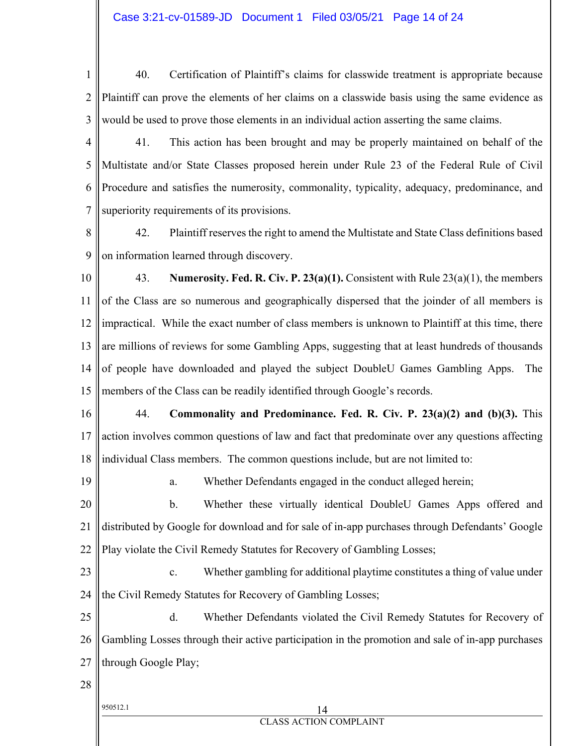- 1 2 3 40. Certification of Plaintiff's claims for classwide treatment is appropriate because Plaintiff can prove the elements of her claims on a classwide basis using the same evidence as would be used to prove those elements in an individual action asserting the same claims.
- 4 5 6 7 41. This action has been brought and may be properly maintained on behalf of the Multistate and/or State Classes proposed herein under Rule 23 of the Federal Rule of Civil Procedure and satisfies the numerosity, commonality, typicality, adequacy, predominance, and superiority requirements of its provisions.
- 8 9 42. Plaintiff reserves the right to amend the Multistate and State Class definitions based on information learned through discovery.
- 10 11 12 13 14 15 43. **Numerosity. Fed. R. Civ. P. 23(a)(1).** Consistent with Rule 23(a)(1), the members of the Class are so numerous and geographically dispersed that the joinder of all members is impractical. While the exact number of class members is unknown to Plaintiff at this time, there are millions of reviews for some Gambling Apps, suggesting that at least hundreds of thousands of people have downloaded and played the subject DoubleU Games Gambling Apps. The members of the Class can be readily identified through Google's records.
- 16 17 18 44. **Commonality and Predominance. Fed. R. Civ. P. 23(a)(2) and (b)(3).** This action involves common questions of law and fact that predominate over any questions affecting individual Class members. The common questions include, but are not limited to:
- 19 a. Whether Defendants engaged in the conduct alleged herein;
- 20 21 22 b. Whether these virtually identical DoubleU Games Apps offered and distributed by Google for download and for sale of in-app purchases through Defendants' Google Play violate the Civil Remedy Statutes for Recovery of Gambling Losses;
- 23 24 c. Whether gambling for additional playtime constitutes a thing of value under the Civil Remedy Statutes for Recovery of Gambling Losses;
- 25 26 27 d. Whether Defendants violated the Civil Remedy Statutes for Recovery of Gambling Losses through their active participation in the promotion and sale of in-app purchases through Google Play;
- 28
- 

### $950512.1$  14 CLASS ACTION COMPLAINT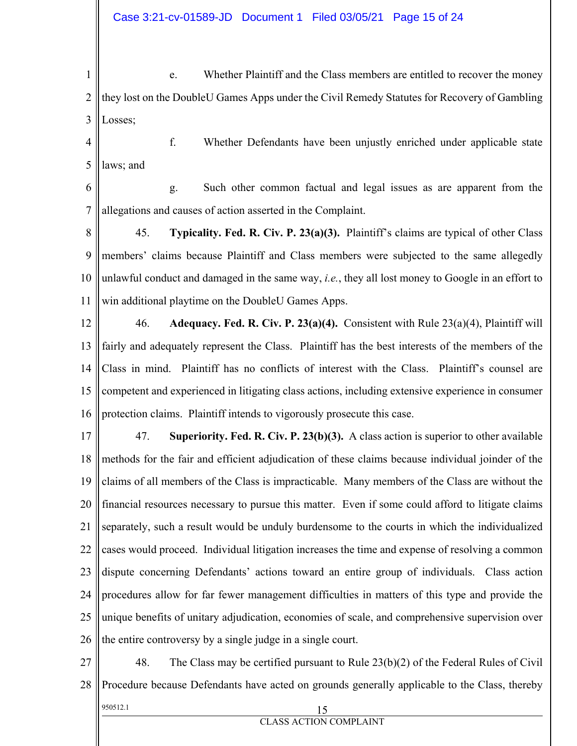1 2 3 e. Whether Plaintiff and the Class members are entitled to recover the money they lost on the DoubleU Games Apps under the Civil Remedy Statutes for Recovery of Gambling Losses;

4 5 f. Whether Defendants have been unjustly enriched under applicable state laws; and

6

7 g. Such other common factual and legal issues as are apparent from the allegations and causes of action asserted in the Complaint.

8 9 10 11 45. **Typicality. Fed. R. Civ. P. 23(a)(3).** Plaintiff's claims are typical of other Class members' claims because Plaintiff and Class members were subjected to the same allegedly unlawful conduct and damaged in the same way, *i.e.*, they all lost money to Google in an effort to win additional playtime on the DoubleU Games Apps.

12 13 14 15 16 46. **Adequacy. Fed. R. Civ. P. 23(a)(4).** Consistent with Rule 23(a)(4), Plaintiff will fairly and adequately represent the Class. Plaintiff has the best interests of the members of the Class in mind. Plaintiff has no conflicts of interest with the Class. Plaintiff's counsel are competent and experienced in litigating class actions, including extensive experience in consumer protection claims. Plaintiff intends to vigorously prosecute this case.

17 18 19 20 21 22 23 24 25 26 47. **Superiority. Fed. R. Civ. P. 23(b)(3).** A class action is superior to other available methods for the fair and efficient adjudication of these claims because individual joinder of the claims of all members of the Class is impracticable. Many members of the Class are without the financial resources necessary to pursue this matter. Even if some could afford to litigate claims separately, such a result would be unduly burdensome to the courts in which the individualized cases would proceed. Individual litigation increases the time and expense of resolving a common dispute concerning Defendants' actions toward an entire group of individuals. Class action procedures allow for far fewer management difficulties in matters of this type and provide the unique benefits of unitary adjudication, economies of scale, and comprehensive supervision over the entire controversy by a single judge in a single court.

 $950512.1$  15 27 28 48. The Class may be certified pursuant to Rule 23(b)(2) of the Federal Rules of Civil Procedure because Defendants have acted on grounds generally applicable to the Class, thereby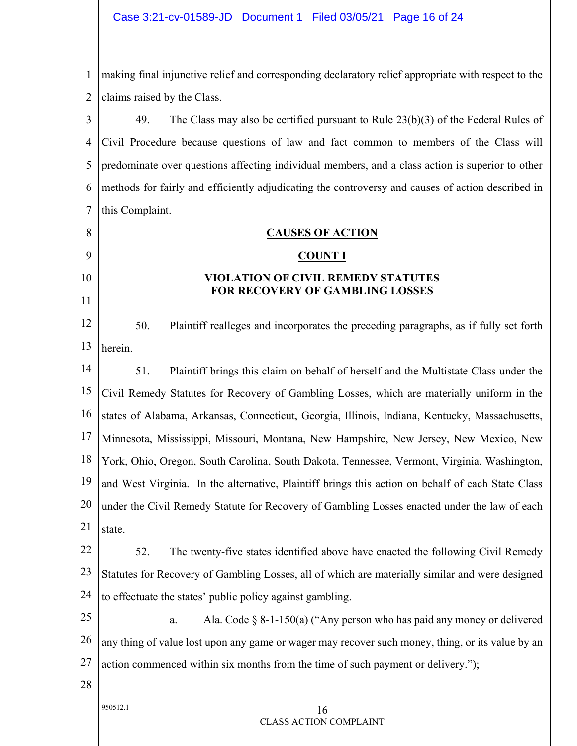1 2 making final injunctive relief and corresponding declaratory relief appropriate with respect to the claims raised by the Class.

3 4 5 6 7 49. The Class may also be certified pursuant to Rule 23(b)(3) of the Federal Rules of Civil Procedure because questions of law and fact common to members of the Class will predominate over questions affecting individual members, and a class action is superior to other methods for fairly and efficiently adjudicating the controversy and causes of action described in this Complaint.

## **CAUSES OF ACTION**

## **COUNT I**

## **VIOLATION OF CIVIL REMEDY STATUTES FOR RECOVERY OF GAMBLING LOSSES**

12 13 50. Plaintiff realleges and incorporates the preceding paragraphs, as if fully set forth herein.

14 15 16 17 18 19 20 21 51. Plaintiff brings this claim on behalf of herself and the Multistate Class under the Civil Remedy Statutes for Recovery of Gambling Losses, which are materially uniform in the states of Alabama, Arkansas, Connecticut, Georgia, Illinois, Indiana, Kentucky, Massachusetts, Minnesota, Mississippi, Missouri, Montana, New Hampshire, New Jersey, New Mexico, New York, Ohio, Oregon, South Carolina, South Dakota, Tennessee, Vermont, Virginia, Washington, and West Virginia. In the alternative, Plaintiff brings this action on behalf of each State Class under the Civil Remedy Statute for Recovery of Gambling Losses enacted under the law of each state.

22 23 24 52. The twenty-five states identified above have enacted the following Civil Remedy Statutes for Recovery of Gambling Losses, all of which are materially similar and were designed to effectuate the states' public policy against gambling.

25 26 27 a. Ala. Code § 8-1-150(a) ("Any person who has paid any money or delivered any thing of value lost upon any game or wager may recover such money, thing, or its value by an action commenced within six months from the time of such payment or delivery.");

28

8

9

10

11

### $950512.1$  16 CLASS ACTION COMPLAINT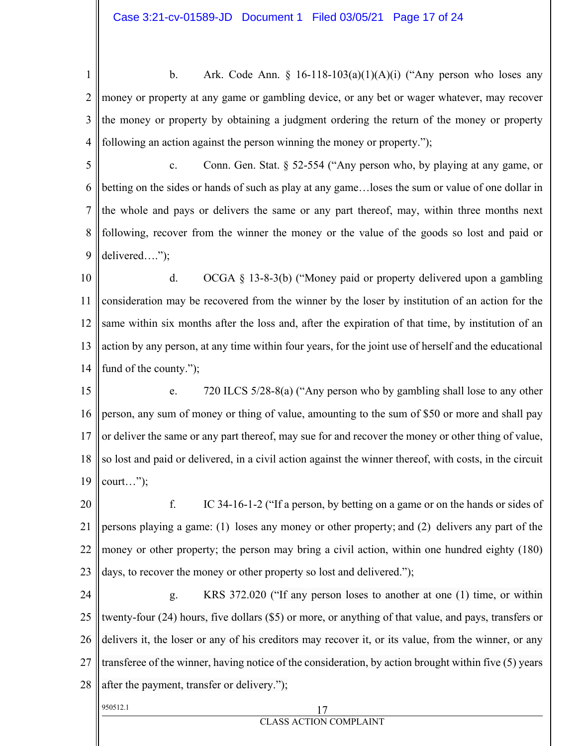1 2 3 4 b. Ark. Code Ann.  $\S$  16-118-103(a)(1)(A)(i) ("Any person who loses any money or property at any game or gambling device, or any bet or wager whatever, may recover the money or property by obtaining a judgment ordering the return of the money or property following an action against the person winning the money or property.");

5 6 7 8 9 c. Conn. Gen. Stat. § 52-554 ("Any person who, by playing at any game, or betting on the sides or hands of such as play at any game…loses the sum or value of one dollar in the whole and pays or delivers the same or any part thereof, may, within three months next following, recover from the winner the money or the value of the goods so lost and paid or delivered….");

10 11 12 13 14 d. OCGA § 13-8-3(b) ("Money paid or property delivered upon a gambling consideration may be recovered from the winner by the loser by institution of an action for the same within six months after the loss and, after the expiration of that time, by institution of an action by any person, at any time within four years, for the joint use of herself and the educational fund of the county.");

15 16 17 18 19 e. 720 ILCS 5/28-8(a) ("Any person who by gambling shall lose to any other person, any sum of money or thing of value, amounting to the sum of \$50 or more and shall pay or deliver the same or any part thereof, may sue for and recover the money or other thing of value, so lost and paid or delivered, in a civil action against the winner thereof, with costs, in the circuit court…");

20 21 22 23 f. IC 34-16-1-2 ("If a person, by betting on a game or on the hands or sides of persons playing a game: (1) loses any money or other property; and (2) delivers any part of the money or other property; the person may bring a civil action, within one hundred eighty (180) days, to recover the money or other property so lost and delivered.");

24 25 26 27 28 g. KRS 372.020 ("If any person loses to another at one (1) time, or within twenty-four (24) hours, five dollars (\$5) or more, or anything of that value, and pays, transfers or delivers it, the loser or any of his creditors may recover it, or its value, from the winner, or any transferee of the winner, having notice of the consideration, by action brought within five (5) years after the payment, transfer or delivery.");

CLASS ACTION COMPLAINT

950512.1 17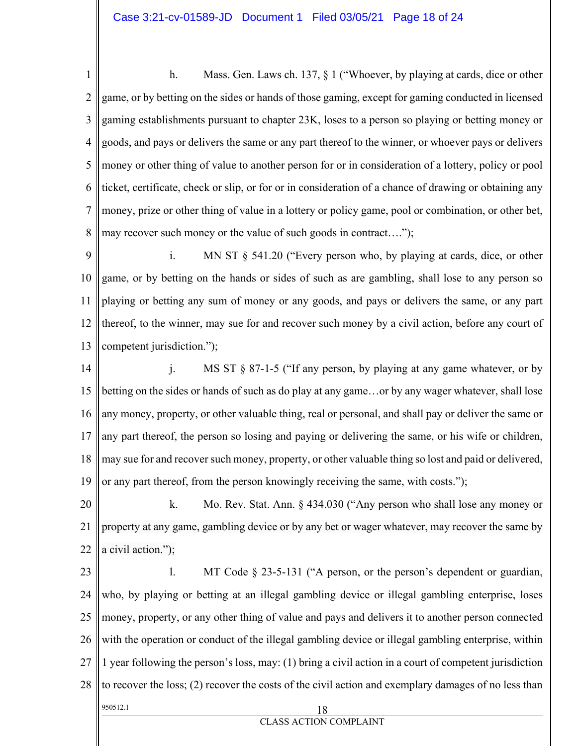1 2 3 4 5 6 7 8 h. Mass. Gen. Laws ch. 137, § 1 ("Whoever, by playing at cards, dice or other game, or by betting on the sides or hands of those gaming, except for gaming conducted in licensed gaming establishments pursuant to chapter 23K, loses to a person so playing or betting money or goods, and pays or delivers the same or any part thereof to the winner, or whoever pays or delivers money or other thing of value to another person for or in consideration of a lottery, policy or pool ticket, certificate, check or slip, or for or in consideration of a chance of drawing or obtaining any money, prize or other thing of value in a lottery or policy game, pool or combination, or other bet, may recover such money or the value of such goods in contract….");

9 10 11 12 13 i. MN ST § 541.20 ("Every person who, by playing at cards, dice, or other game, or by betting on the hands or sides of such as are gambling, shall lose to any person so playing or betting any sum of money or any goods, and pays or delivers the same, or any part thereof, to the winner, may sue for and recover such money by a civil action, before any court of competent jurisdiction.");

14 15 16 17 18 19 j. MS ST § 87-1-5 ("If any person, by playing at any game whatever, or by betting on the sides or hands of such as do play at any game…or by any wager whatever, shall lose any money, property, or other valuable thing, real or personal, and shall pay or deliver the same or any part thereof, the person so losing and paying or delivering the same, or his wife or children, may sue for and recover such money, property, or other valuable thing so lost and paid or delivered, or any part thereof, from the person knowingly receiving the same, with costs.");

20 21 22 k. Mo. Rev. Stat. Ann. § 434.030 ("Any person who shall lose any money or property at any game, gambling device or by any bet or wager whatever, may recover the same by a civil action.");

 $950512.1$  18 23 24 25 26 27 28 l. MT Code § 23-5-131 ("A person, or the person's dependent or guardian, who, by playing or betting at an illegal gambling device or illegal gambling enterprise, loses money, property, or any other thing of value and pays and delivers it to another person connected with the operation or conduct of the illegal gambling device or illegal gambling enterprise, within 1 year following the person's loss, may: (1) bring a civil action in a court of competent jurisdiction to recover the loss; (2) recover the costs of the civil action and exemplary damages of no less than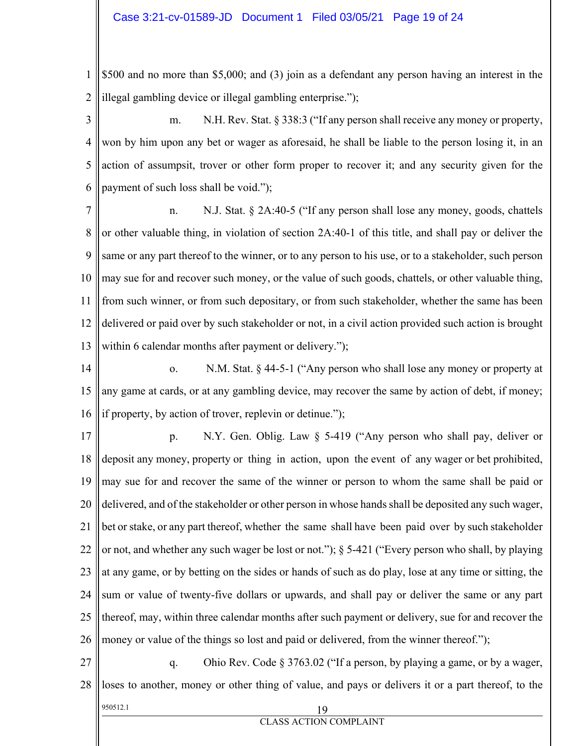1 2 \$500 and no more than \$5,000; and (3) join as a defendant any person having an interest in the illegal gambling device or illegal gambling enterprise.");

3 4 5 6 m. N.H. Rev. Stat. § 338:3 ("If any person shall receive any money or property, won by him upon any bet or wager as aforesaid, he shall be liable to the person losing it, in an action of assumpsit, trover or other form proper to recover it; and any security given for the payment of such loss shall be void.");

7 8 9 10 11 12 13 n. N.J. Stat. § 2A:40-5 ("If any person shall lose any money, goods, chattels or other valuable thing, in violation of section 2A:40-1 of this title, and shall pay or deliver the same or any part thereof to the winner, or to any person to his use, or to a stakeholder, such person may sue for and recover such money, or the value of such goods, chattels, or other valuable thing, from such winner, or from such depositary, or from such stakeholder, whether the same has been delivered or paid over by such stakeholder or not, in a civil action provided such action is brought within 6 calendar months after payment or delivery.");

14 15 16 o. N.M. Stat. § 44-5-1 ("Any person who shall lose any money or property at any game at cards, or at any gambling device, may recover the same by action of debt, if money; if property, by action of trover, replevin or detinue.");

17 18 19 20 21 22 23 24 25 26 p. N.Y. Gen. Oblig. Law § 5-419 ("Any person who shall pay, deliver or deposit any money, property or thing in action, upon the event of any wager or bet prohibited, may sue for and recover the same of the winner or person to whom the same shall be paid or delivered, and of the stakeholder or other person in whose hands shall be deposited any such wager, bet or stake, or any part thereof, whether the same shall have been paid over by such stakeholder or not, and whether any such wager be lost or not."); § 5-421 ("Every person who shall, by playing at any game, or by betting on the sides or hands of such as do play, lose at any time or sitting, the sum or value of twenty-five dollars or upwards, and shall pay or deliver the same or any part thereof, may, within three calendar months after such payment or delivery, sue for and recover the money or value of the things so lost and paid or delivered, from the winner thereof.");

 $950512.1$  19 27 28 q. Ohio Rev. Code § 3763.02 ("If a person, by playing a game, or by a wager, loses to another, money or other thing of value, and pays or delivers it or a part thereof, to the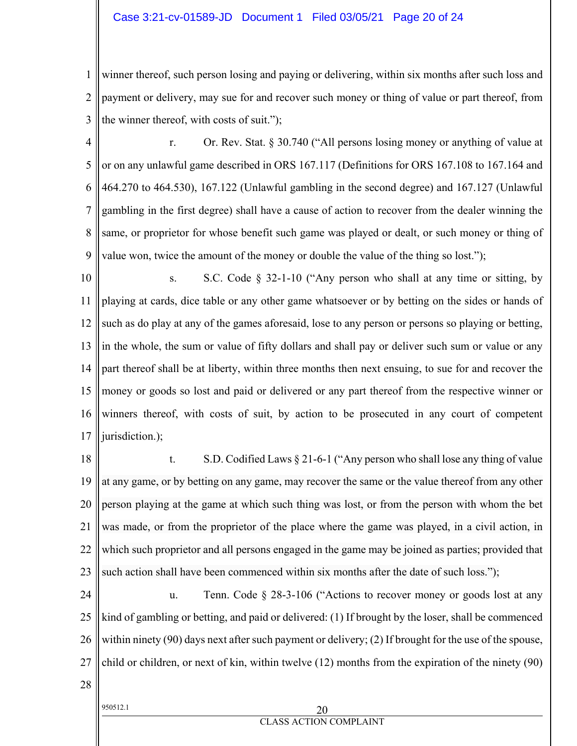## Case 3:21-cv-01589-JD Document 1 Filed 03/05/21 Page 20 of 24

1 2 3 winner thereof, such person losing and paying or delivering, within six months after such loss and payment or delivery, may sue for and recover such money or thing of value or part thereof, from the winner thereof, with costs of suit.");

4 5 6 7 8 9 r. Or. Rev. Stat. § 30.740 ("All persons losing money or anything of value at or on any unlawful game described in ORS 167.117 (Definitions for ORS 167.108 to 167.164 and 464.270 to 464.530), 167.122 (Unlawful gambling in the second degree) and 167.127 (Unlawful gambling in the first degree) shall have a cause of action to recover from the dealer winning the same, or proprietor for whose benefit such game was played or dealt, or such money or thing of value won, twice the amount of the money or double the value of the thing so lost.");

10 11 12 13 14 15 16 17 s. S.C. Code  $\S$  32-1-10 ("Any person who shall at any time or sitting, by playing at cards, dice table or any other game whatsoever or by betting on the sides or hands of such as do play at any of the games aforesaid, lose to any person or persons so playing or betting, in the whole, the sum or value of fifty dollars and shall pay or deliver such sum or value or any part thereof shall be at liberty, within three months then next ensuing, to sue for and recover the money or goods so lost and paid or delivered or any part thereof from the respective winner or winners thereof, with costs of suit, by action to be prosecuted in any court of competent jurisdiction.);

18 19 20 21 22 23 t. S.D. Codified Laws § 21-6-1 ("Any person who shall lose any thing of value at any game, or by betting on any game, may recover the same or the value thereof from any other person playing at the game at which such thing was lost, or from the person with whom the bet was made, or from the proprietor of the place where the game was played, in a civil action, in which such proprietor and all persons engaged in the game may be joined as parties; provided that such action shall have been commenced within six months after the date of such loss.");

24 25 26 27 u. Tenn. Code § 28-3-106 ("Actions to recover money or goods lost at any kind of gambling or betting, and paid or delivered: (1) If brought by the loser, shall be commenced within ninety (90) days next after such payment or delivery; (2) If brought for the use of the spouse, child or children, or next of kin, within twelve (12) months from the expiration of the ninety (90)

28

## $950512.1$  20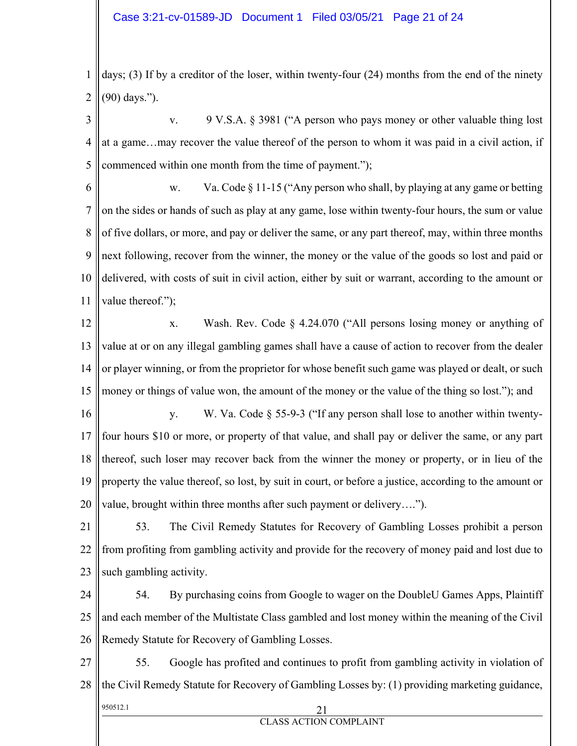1 2 days; (3) If by a creditor of the loser, within twenty-four (24) months from the end of the ninety (90) days.").

3 4 5 v. 9 V.S.A. § 3981 ("A person who pays money or other valuable thing lost at a game…may recover the value thereof of the person to whom it was paid in a civil action, if commenced within one month from the time of payment.");

6

7 8 9 10 11 w. Va. Code  $\S 11-15$  ("Any person who shall, by playing at any game or betting on the sides or hands of such as play at any game, lose within twenty-four hours, the sum or value of five dollars, or more, and pay or deliver the same, or any part thereof, may, within three months next following, recover from the winner, the money or the value of the goods so lost and paid or delivered, with costs of suit in civil action, either by suit or warrant, according to the amount or value thereof.");

12 13 14 15 x. Wash. Rev. Code § 4.24.070 ("All persons losing money or anything of value at or on any illegal gambling games shall have a cause of action to recover from the dealer or player winning, or from the proprietor for whose benefit such game was played or dealt, or such money or things of value won, the amount of the money or the value of the thing so lost."); and

16 17 18 19 20 y. W. Va. Code § 55-9-3 ("If any person shall lose to another within twentyfour hours \$10 or more, or property of that value, and shall pay or deliver the same, or any part thereof, such loser may recover back from the winner the money or property, or in lieu of the property the value thereof, so lost, by suit in court, or before a justice, according to the amount or value, brought within three months after such payment or delivery….").

21 22 23 53. The Civil Remedy Statutes for Recovery of Gambling Losses prohibit a person from profiting from gambling activity and provide for the recovery of money paid and lost due to such gambling activity.

24 25 26 54. By purchasing coins from Google to wager on the DoubleU Games Apps, Plaintiff and each member of the Multistate Class gambled and lost money within the meaning of the Civil Remedy Statute for Recovery of Gambling Losses.

 $950512.1$  21 27 28 55. Google has profited and continues to profit from gambling activity in violation of the Civil Remedy Statute for Recovery of Gambling Losses by: (1) providing marketing guidance,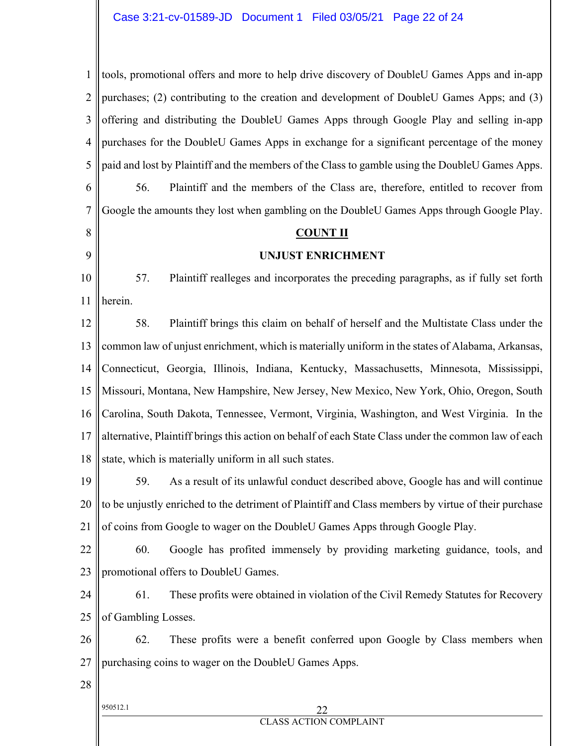950512.1 22 CLASS ACTION COMPLAINT 1 2 3 4 5 6 7 8 9 10 11 12 13 14 15 16 17 18 19 20 21 22 23 24 25 26 27 28 tools, promotional offers and more to help drive discovery of DoubleU Games Apps and in-app purchases; (2) contributing to the creation and development of DoubleU Games Apps; and (3) offering and distributing the DoubleU Games Apps through Google Play and selling in-app purchases for the DoubleU Games Apps in exchange for a significant percentage of the money paid and lost by Plaintiff and the members of the Class to gamble using the DoubleU Games Apps. 56. Plaintiff and the members of the Class are, therefore, entitled to recover from Google the amounts they lost when gambling on the DoubleU Games Apps through Google Play. **COUNT II UNJUST ENRICHMENT**  57. Plaintiff realleges and incorporates the preceding paragraphs, as if fully set forth herein. 58. Plaintiff brings this claim on behalf of herself and the Multistate Class under the common law of unjust enrichment, which is materially uniform in the states of Alabama, Arkansas, Connecticut, Georgia, Illinois, Indiana, Kentucky, Massachusetts, Minnesota, Mississippi, Missouri, Montana, New Hampshire, New Jersey, New Mexico, New York, Ohio, Oregon, South Carolina, South Dakota, Tennessee, Vermont, Virginia, Washington, and West Virginia. In the alternative, Plaintiff brings this action on behalf of each State Class under the common law of each state, which is materially uniform in all such states. 59. As a result of its unlawful conduct described above, Google has and will continue to be unjustly enriched to the detriment of Plaintiff and Class members by virtue of their purchase of coins from Google to wager on the DoubleU Games Apps through Google Play. 60. Google has profited immensely by providing marketing guidance, tools, and promotional offers to DoubleU Games. 61. These profits were obtained in violation of the Civil Remedy Statutes for Recovery of Gambling Losses. 62. These profits were a benefit conferred upon Google by Class members when purchasing coins to wager on the DoubleU Games Apps.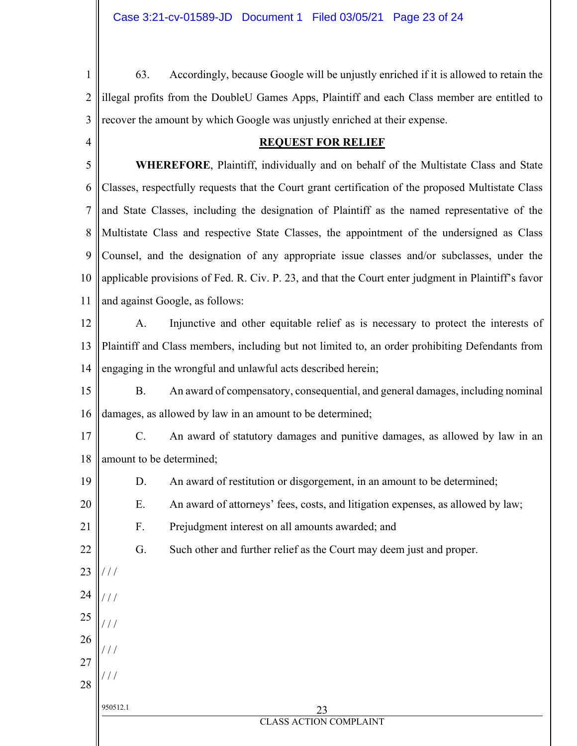4

19

20

21

22

23

/ / /

/ / /

/ / /

/ / /

 $^{\prime}$  /  $^{\prime}$ 

24

25

26

27

28

1 2 3 63. Accordingly, because Google will be unjustly enriched if it is allowed to retain the illegal profits from the DoubleU Games Apps, Plaintiff and each Class member are entitled to recover the amount by which Google was unjustly enriched at their expense.

## **REQUEST FOR RELIEF**

5 6 7 8 9 10 11  **WHEREFORE**, Plaintiff, individually and on behalf of the Multistate Class and State Classes, respectfully requests that the Court grant certification of the proposed Multistate Class and State Classes, including the designation of Plaintiff as the named representative of the Multistate Class and respective State Classes, the appointment of the undersigned as Class Counsel, and the designation of any appropriate issue classes and/or subclasses, under the applicable provisions of Fed. R. Civ. P. 23, and that the Court enter judgment in Plaintiff's favor and against Google, as follows:

12 13 14 A. Injunctive and other equitable relief as is necessary to protect the interests of Plaintiff and Class members, including but not limited to, an order prohibiting Defendants from engaging in the wrongful and unlawful acts described herein;

15 16 B. An award of compensatory, consequential, and general damages, including nominal damages, as allowed by law in an amount to be determined;

17 18 C. An award of statutory damages and punitive damages, as allowed by law in an amount to be determined;

- D. An award of restitution or disgorgement, in an amount to be determined;
	- E. An award of attorneys' fees, costs, and litigation expenses, as allowed by law;

F. Prejudgment interest on all amounts awarded; and

G. Such other and further relief as the Court may deem just and proper.

950512.1 23 CLASS ACTION COMPLAINT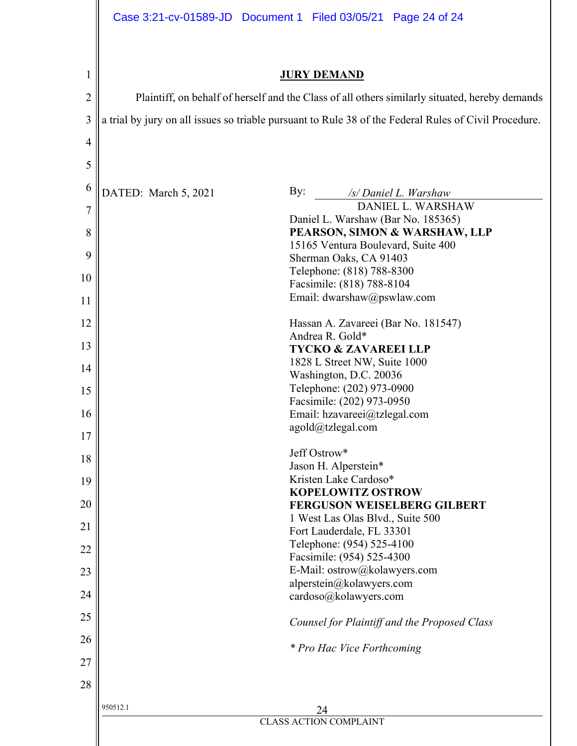| 1              |                                                                                                       | <b>JURY DEMAND</b>                                      |  |  |  |  |  |  |
|----------------|-------------------------------------------------------------------------------------------------------|---------------------------------------------------------|--|--|--|--|--|--|
| $\overline{c}$ | Plaintiff, on behalf of herself and the Class of all others similarly situated, hereby demands        |                                                         |  |  |  |  |  |  |
| 3              | a trial by jury on all issues so triable pursuant to Rule 38 of the Federal Rules of Civil Procedure. |                                                         |  |  |  |  |  |  |
| $\overline{4}$ |                                                                                                       |                                                         |  |  |  |  |  |  |
|                |                                                                                                       |                                                         |  |  |  |  |  |  |
| 5              |                                                                                                       |                                                         |  |  |  |  |  |  |
| 6              | DATED: March 5, 2021                                                                                  | By:<br>/s/ Daniel L. Warshaw                            |  |  |  |  |  |  |
| $\overline{7}$ |                                                                                                       | DANIEL L. WARSHAW<br>Daniel L. Warshaw (Bar No. 185365) |  |  |  |  |  |  |
| 8              |                                                                                                       | PEARSON, SIMON & WARSHAW, LLP                           |  |  |  |  |  |  |
| 9              |                                                                                                       | 15165 Ventura Boulevard, Suite 400                      |  |  |  |  |  |  |
|                |                                                                                                       | Sherman Oaks, CA 91403<br>Telephone: (818) 788-8300     |  |  |  |  |  |  |
| 10             |                                                                                                       | Facsimile: (818) 788-8104                               |  |  |  |  |  |  |
| 11             |                                                                                                       | Email: dwarshaw@pswlaw.com                              |  |  |  |  |  |  |
| 12             |                                                                                                       | Hassan A. Zavareei (Bar No. 181547)                     |  |  |  |  |  |  |
|                |                                                                                                       | Andrea R. Gold*                                         |  |  |  |  |  |  |
| 13             | <b>TYCKO &amp; ZAVAREEI LLP</b>                                                                       |                                                         |  |  |  |  |  |  |
| 14             |                                                                                                       | 1828 L Street NW, Suite 1000<br>Washington, D.C. 20036  |  |  |  |  |  |  |
|                |                                                                                                       | Telephone: (202) 973-0900                               |  |  |  |  |  |  |
| 15             |                                                                                                       | Facsimile: (202) 973-0950                               |  |  |  |  |  |  |
| 16             |                                                                                                       | Email: hzavareei@tzlegal.com                            |  |  |  |  |  |  |
| 17             |                                                                                                       | agold@tzlegal.com                                       |  |  |  |  |  |  |
|                |                                                                                                       | Jeff Ostrow*                                            |  |  |  |  |  |  |
| 18             |                                                                                                       | Jason H. Alperstein*                                    |  |  |  |  |  |  |
| 19             |                                                                                                       | Kristen Lake Cardoso*                                   |  |  |  |  |  |  |
|                |                                                                                                       | <b>KOPELOWITZ OSTROW</b>                                |  |  |  |  |  |  |
| 20             |                                                                                                       | <b>FERGUSON WEISELBERG GILBERT</b>                      |  |  |  |  |  |  |
| 21             |                                                                                                       | 1 West Las Olas Blvd., Suite 500                        |  |  |  |  |  |  |
|                |                                                                                                       | Fort Lauderdale, FL 33301<br>Telephone: (954) 525-4100  |  |  |  |  |  |  |
| 22             |                                                                                                       | Facsimile: (954) 525-4300                               |  |  |  |  |  |  |
| 23             |                                                                                                       | E-Mail: ostrow@kolawyers.com                            |  |  |  |  |  |  |
| 24             |                                                                                                       | alperstein@kolawyers.com                                |  |  |  |  |  |  |
|                |                                                                                                       | cardoso@kolawyers.com                                   |  |  |  |  |  |  |
| 25             |                                                                                                       | Counsel for Plaintiff and the Proposed Class            |  |  |  |  |  |  |
| 26             |                                                                                                       | * Pro Hac Vice Forthcoming                              |  |  |  |  |  |  |
| 27             |                                                                                                       |                                                         |  |  |  |  |  |  |
| 28             |                                                                                                       |                                                         |  |  |  |  |  |  |
|                | 950512.1                                                                                              | 24                                                      |  |  |  |  |  |  |
|                |                                                                                                       | <b>CLASS ACTION COMPLAINT</b>                           |  |  |  |  |  |  |
|                |                                                                                                       |                                                         |  |  |  |  |  |  |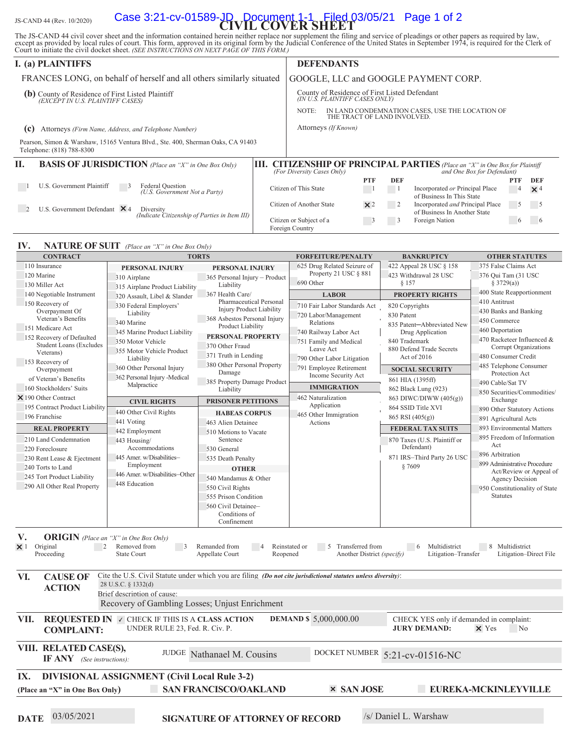# JS-CAND 44 (Rev. 10/2020) **Case 3:21-cv-01589-JD Document 1-1 Filed 03/05/21** Page 1 of 2

The JS-CAND 44 civil cover sheet and the information contained herein neither replace nor supplement the filing and service of pleadings or other papers as required by law, except as provided by local rules of court. This

|                                                                                                                             | <b>I.</b> (a) PLAINTIFFS                                                                                     | <b>DEFENDANTS</b> |                                                                                         |  |            |     |                                                                                                              |               |                   |
|-----------------------------------------------------------------------------------------------------------------------------|--------------------------------------------------------------------------------------------------------------|-------------------|-----------------------------------------------------------------------------------------|--|------------|-----|--------------------------------------------------------------------------------------------------------------|---------------|-------------------|
|                                                                                                                             | FRANCES LONG, on behalf of herself and all others similarly situated                                         |                   | GOOGLE, LLC and GOOGLE PAYMENT CORP.                                                    |  |            |     |                                                                                                              |               |                   |
| (b) County of Residence of First Listed Plaintiff $\frac{EXCEPT IN U.S. PLAINTIFF CASES}{E(XCEPT IN U.S. PLAINTIFF CASES)}$ |                                                                                                              |                   | County of Residence of First Listed Defendant<br>(IN U.S. PLAINTIFF CASES ONLY)         |  |            |     |                                                                                                              |               |                   |
|                                                                                                                             |                                                                                                              |                   | IN LAND CONDEMNATION CASES, USE THE LOCATION OF<br>NOTE:<br>THE TRACT OF LAND INVOLVED. |  |            |     |                                                                                                              |               |                   |
| Attorneys (Firm Name, Address, and Telephone Number)<br>(c)                                                                 |                                                                                                              |                   | Attorneys (If Known)                                                                    |  |            |     |                                                                                                              |               |                   |
|                                                                                                                             | Pearson, Simon & Warshaw, 15165 Ventura Blvd., Ste. 400, Sherman Oaks, CA 91403<br>Telephone: (818) 788-8300 |                   |                                                                                         |  |            |     |                                                                                                              |               |                   |
| П.                                                                                                                          | <b>BASIS OF JURISDICTION</b> (Place an "X" in One Box Only)                                                  | Ш.                | (For Diversity Cases Only)                                                              |  |            |     | <b>CITIZENSHIP OF PRINCIPAL PARTIES</b> (Place an "X" in One Box for Plaintiff<br>and One Box for Defendant) |               |                   |
|                                                                                                                             | U.S. Government Plaintiff<br>Federal Question<br>(U.S. Government Not a Party)                               |                   | Citizen of This State                                                                   |  | <b>PTF</b> | DEF | Incorporated or Principal Place<br>of Business In This State                                                 | PTF<br>4      | DEF<br>$\times$ 4 |
|                                                                                                                             | U.S. Government Defendant $\times$ 4<br>Diversity<br>(Indicate Citizenship of Parties in Item III)           |                   | Citizen of Another State                                                                |  | $\times 2$ |     | Incorporated and Principal Place<br>of Business In Another State                                             | $\rightarrow$ |                   |
|                                                                                                                             |                                                                                                              |                   | Citizen or Subject of a<br>Foreign Country                                              |  |            | 3   | Foreign Nation                                                                                               | $\circ$       |                   |

#### **IV. NATURE OF SUIT** (Place an "X" in One Box Only)

| <b>CONTRACT</b><br><b>TORTS</b>                                                                                                                                                                                                                                                                                                                                                                             |                                                                                                                | <b>FORFEITURE/PENALTY</b>              | <b>BANKRUPTCY</b>                 | <b>OTHER STATUTES</b>        |                                                   |  |  |  |  |
|-------------------------------------------------------------------------------------------------------------------------------------------------------------------------------------------------------------------------------------------------------------------------------------------------------------------------------------------------------------------------------------------------------------|----------------------------------------------------------------------------------------------------------------|----------------------------------------|-----------------------------------|------------------------------|---------------------------------------------------|--|--|--|--|
| 110 Insurance                                                                                                                                                                                                                                                                                                                                                                                               | PERSONAL INJURY                                                                                                | PERSONAL INJURY                        | 625 Drug Related Seizure of       | 422 Appeal 28 USC § 158      | 375 False Claims Act                              |  |  |  |  |
| 120 Marine                                                                                                                                                                                                                                                                                                                                                                                                  | 310 Airplane                                                                                                   | 365 Personal Injury - Product          | Property 21 USC § 881             | 423 Withdrawal 28 USC        | 376 Qui Tam (31 USC                               |  |  |  |  |
| 130 Miller Act<br>315 Airplane Product Liability                                                                                                                                                                                                                                                                                                                                                            |                                                                                                                | Liability                              | 690 Other                         | § 157                        | § 3729(a))                                        |  |  |  |  |
| 140 Negotiable Instrument                                                                                                                                                                                                                                                                                                                                                                                   | 367 Health Care/<br>320 Assault, Libel & Slander                                                               |                                        | <b>LABOR</b>                      | <b>PROPERTY RIGHTS</b>       | 400 State Reapportionment                         |  |  |  |  |
| 150 Recovery of                                                                                                                                                                                                                                                                                                                                                                                             | 330 Federal Employers'                                                                                         | Pharmaceutical Personal                | 710 Fair Labor Standards Act      | 820 Copyrights               | 410 Antitrust                                     |  |  |  |  |
| Overpayment Of                                                                                                                                                                                                                                                                                                                                                                                              | Liability                                                                                                      | <b>Injury Product Liability</b>        | 720 Labor/Management              | 830 Patent                   | 430 Banks and Banking                             |  |  |  |  |
| Veteran's Benefits                                                                                                                                                                                                                                                                                                                                                                                          | 340 Marine                                                                                                     | 368 Asbestos Personal Injury           | Relations                         | 835 Patent-Abbreviated New   | 450 Commerce                                      |  |  |  |  |
| 151 Medicare Act                                                                                                                                                                                                                                                                                                                                                                                            | 345 Marine Product Liability                                                                                   | Product Liability                      | 740 Railway Labor Act             | Drug Application             | 460 Deportation                                   |  |  |  |  |
| 152 Recovery of Defaulted                                                                                                                                                                                                                                                                                                                                                                                   | 350 Motor Vehicle                                                                                              | PERSONAL PROPERTY                      | 751 Family and Medical            | 840 Trademark                | 470 Racketeer Influenced &                        |  |  |  |  |
| <b>Student Loans (Excludes</b>                                                                                                                                                                                                                                                                                                                                                                              | 355 Motor Vehicle Product                                                                                      | 370 Other Fraud                        | Leave Act                         | 880 Defend Trade Secrets     | Corrupt Organizations                             |  |  |  |  |
| Veterans)                                                                                                                                                                                                                                                                                                                                                                                                   | Liability                                                                                                      | 371 Truth in Lending                   | 790 Other Labor Litigation        | Act of 2016                  | 480 Consumer Credit                               |  |  |  |  |
| 153 Recovery of<br>Overpayment                                                                                                                                                                                                                                                                                                                                                                              | 360 Other Personal Injury                                                                                      | 380 Other Personal Property            | 791 Employee Retirement           | <b>SOCIAL SECURITY</b>       | 485 Telephone Consumer                            |  |  |  |  |
| of Veteran's Benefits                                                                                                                                                                                                                                                                                                                                                                                       | 362 Personal Injury -Medical                                                                                   | Damage                                 | Income Security Act               | 861 HIA (1395ff)             | Protection Act                                    |  |  |  |  |
| 160 Stockholders' Suits                                                                                                                                                                                                                                                                                                                                                                                     | Malpractice                                                                                                    | 385 Property Damage Product            | <b>IMMIGRATION</b>                |                              | 490 Cable/Sat TV                                  |  |  |  |  |
| $\times$ 190 Other Contract                                                                                                                                                                                                                                                                                                                                                                                 |                                                                                                                | Liability                              |                                   | 862 Black Lung (923)         | 850 Securities/Commodities/                       |  |  |  |  |
|                                                                                                                                                                                                                                                                                                                                                                                                             | <b>CIVIL RIGHTS</b>                                                                                            | <b>PRISONER PETITIONS</b>              | 462 Naturalization<br>Application | 863 DIWC/DIWW (405(g))       | Exchange                                          |  |  |  |  |
| 195 Contract Product Liability                                                                                                                                                                                                                                                                                                                                                                              | 440 Other Civil Rights                                                                                         | <b>HABEAS CORPUS</b>                   | 465 Other Immigration             | 864 SSID Title XVI           | 890 Other Statutory Actions                       |  |  |  |  |
| 196 Franchise                                                                                                                                                                                                                                                                                                                                                                                               | 441 Voting                                                                                                     | 463 Alien Detainee                     | Actions                           | 865 RSI (405(g))             | 891 Agricultural Acts                             |  |  |  |  |
| <b>REAL PROPERTY</b>                                                                                                                                                                                                                                                                                                                                                                                        | 442 Employment                                                                                                 | 510 Motions to Vacate                  |                                   | <b>FEDERAL TAX SUITS</b>     | 893 Environmental Matters                         |  |  |  |  |
| 210 Land Condemnation                                                                                                                                                                                                                                                                                                                                                                                       | 443 Housing/                                                                                                   | Sentence                               |                                   | 870 Taxes (U.S. Plaintiff or | 895 Freedom of Information                        |  |  |  |  |
| 220 Foreclosure                                                                                                                                                                                                                                                                                                                                                                                             | Accommodations                                                                                                 | 530 General                            |                                   | Defendant)                   | Act                                               |  |  |  |  |
| 230 Rent Lease & Ejectment                                                                                                                                                                                                                                                                                                                                                                                  | 445 Amer. w/Disabilities-                                                                                      | 535 Death Penalty                      |                                   | 871 IRS-Third Party 26 USC   | 896 Arbitration                                   |  |  |  |  |
| 240 Torts to Land                                                                                                                                                                                                                                                                                                                                                                                           | Employment                                                                                                     | <b>OTHER</b>                           |                                   | §7609                        | 899 Administrative Procedure                      |  |  |  |  |
| 245 Tort Product Liability                                                                                                                                                                                                                                                                                                                                                                                  | 446 Amer. w/Disabilities-Other                                                                                 | 540 Mandamus & Other                   |                                   |                              | Act/Review or Appeal of<br><b>Agency Decision</b> |  |  |  |  |
| 290 All Other Real Property                                                                                                                                                                                                                                                                                                                                                                                 | 448 Education                                                                                                  | 550 Civil Rights                       |                                   |                              | 950 Constitutionality of State                    |  |  |  |  |
|                                                                                                                                                                                                                                                                                                                                                                                                             |                                                                                                                | 555 Prison Condition                   |                                   |                              | <b>Statutes</b>                                   |  |  |  |  |
|                                                                                                                                                                                                                                                                                                                                                                                                             |                                                                                                                | 560 Civil Detainee-                    |                                   |                              |                                                   |  |  |  |  |
|                                                                                                                                                                                                                                                                                                                                                                                                             |                                                                                                                | Conditions of                          |                                   |                              |                                                   |  |  |  |  |
|                                                                                                                                                                                                                                                                                                                                                                                                             |                                                                                                                | Confinement                            |                                   |                              |                                                   |  |  |  |  |
| V.<br><b>ORIGIN</b> (Place an "X" in One Box Only)<br>Original<br>$\overline{2}$<br>Removed from<br>Remanded from<br>Reinstated or<br>5 Transferred from<br>$6\overline{6}$<br>Multidistrict<br>8 Multidistrict<br>$\times$ 1<br>$\overline{\phantom{a}}$<br>Proceeding<br><b>State Court</b><br>Appellate Court<br>Another District (specify)<br>Litigation-Transfer<br>Litigation-Direct File<br>Reopened |                                                                                                                |                                        |                                   |                              |                                                   |  |  |  |  |
| VI.<br><b>CAUSE OF</b>                                                                                                                                                                                                                                                                                                                                                                                      | Cite the U.S. Civil Statute under which you are filing (Do not cite jurisdictional statutes unless diversity): |                                        |                                   |                              |                                                   |  |  |  |  |
| <b>ACTION</b>                                                                                                                                                                                                                                                                                                                                                                                               | 28 U.S.C. § 1332(d)                                                                                            |                                        |                                   |                              |                                                   |  |  |  |  |
|                                                                                                                                                                                                                                                                                                                                                                                                             | Brief description of cause:                                                                                    |                                        |                                   |                              |                                                   |  |  |  |  |
|                                                                                                                                                                                                                                                                                                                                                                                                             | Recovery of Gambling Losses; Unjust Enrichment                                                                 |                                        |                                   |                              |                                                   |  |  |  |  |
| VII.<br><b>REQUESTED IN V CHECK IF THIS IS A CLASS ACTION</b><br><b>DEMAND \$5,000,000.00</b><br>CHECK YES only if demanded in complaint:<br>UNDER RULE 23, Fed. R. Civ. P.<br><b>JURY DEMAND:</b><br>$\times$ Yes<br>N <sub>o</sub><br><b>COMPLAINT:</b>                                                                                                                                                   |                                                                                                                |                                        |                                   |                              |                                                   |  |  |  |  |
| VIII. RELATED CASE(S),<br>JUDGE Nathanael M. Cousins<br>DOCKET NUMBER 5:21-cv-01516-NC<br>$IF ANY$ (See instructions):                                                                                                                                                                                                                                                                                      |                                                                                                                |                                        |                                   |                              |                                                   |  |  |  |  |
| IX.<br><b>DIVISIONAL ASSIGNMENT (Civil Local Rule 3-2)</b>                                                                                                                                                                                                                                                                                                                                                  |                                                                                                                |                                        |                                   |                              |                                                   |  |  |  |  |
| <b>SAN FRANCISCO/OAKLAND</b><br><b>× SAN JOSE</b><br>EUREKA-MCKINLEYVILLE<br>(Place an "X" in One Box Only)                                                                                                                                                                                                                                                                                                 |                                                                                                                |                                        |                                   |                              |                                                   |  |  |  |  |
|                                                                                                                                                                                                                                                                                                                                                                                                             |                                                                                                                |                                        |                                   |                              |                                                   |  |  |  |  |
|                                                                                                                                                                                                                                                                                                                                                                                                             |                                                                                                                |                                        |                                   |                              |                                                   |  |  |  |  |
| 03/05/2021<br><b>DATE</b>                                                                                                                                                                                                                                                                                                                                                                                   |                                                                                                                | <b>SIGNATURE OF ATTORNEY OF RECORD</b> |                                   | /s/ Daniel L. Warshaw        |                                                   |  |  |  |  |